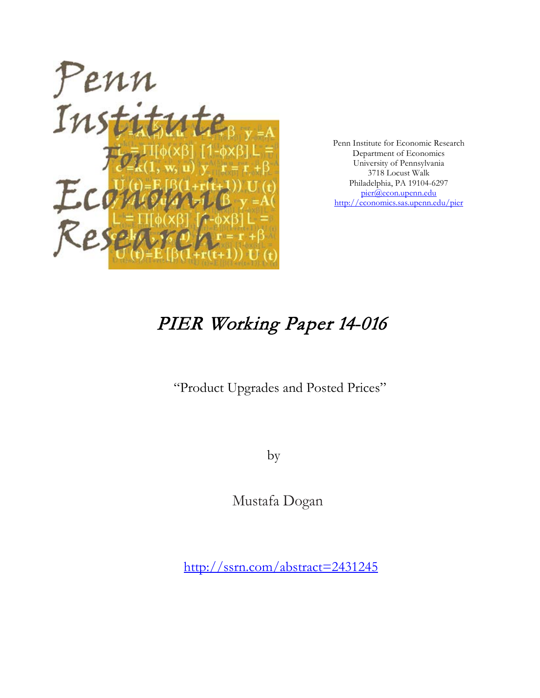

Penn Institute for Economic Research Department of Economics University of Pennsylvania 3718 Locust Walk Philadelphia, PA 19104-6297 [pier@econ.upenn.edu](mailto:pier@econ.upenn.edu) <http://economics.sas.upenn.edu/pier>

# PIER Working Paper 14-016

"Product Upgrades and Posted Prices"

by

Mustafa Dogan

[http://ssrn.com/abstract=2](http://ssrn.com/abstract_id=)431245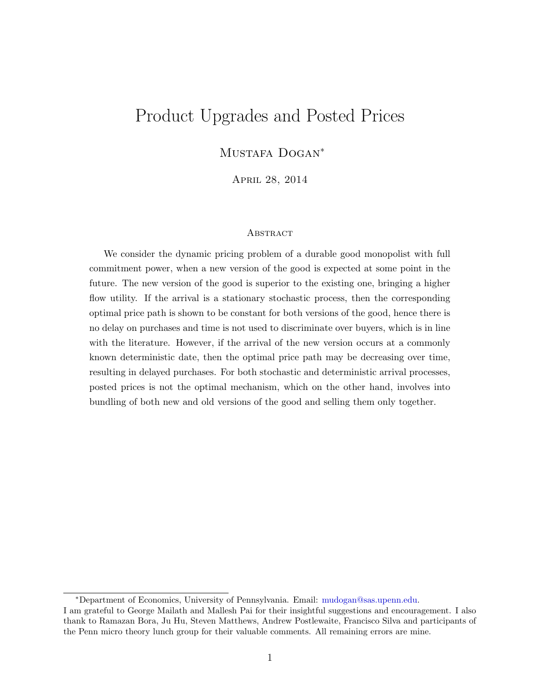# Product Upgrades and Posted Prices

MUSTAFA DOGAN<sup>\*</sup>

April 28, 2014

#### **ABSTRACT**

We consider the dynamic pricing problem of a durable good monopolist with full commitment power, when a new version of the good is expected at some point in the future. The new version of the good is superior to the existing one, bringing a higher flow utility. If the arrival is a stationary stochastic process, then the corresponding optimal price path is shown to be constant for both versions of the good, hence there is no delay on purchases and time is not used to discriminate over buyers, which is in line with the literature. However, if the arrival of the new version occurs at a commonly known deterministic date, then the optimal price path may be decreasing over time, resulting in delayed purchases. For both stochastic and deterministic arrival processes, posted prices is not the optimal mechanism, which on the other hand, involves into bundling of both new and old versions of the good and selling them only together.

<sup>∗</sup>Department of Economics, University of Pennsylvania. Email: [mudogan@sas.upenn.edu.](mailto:mudogan@sas.upenn.edu)

I am grateful to George Mailath and Mallesh Pai for their insightful suggestions and encouragement. I also thank to Ramazan Bora, Ju Hu, Steven Matthews, Andrew Postlewaite, Francisco Silva and participants of the Penn micro theory lunch group for their valuable comments. All remaining errors are mine.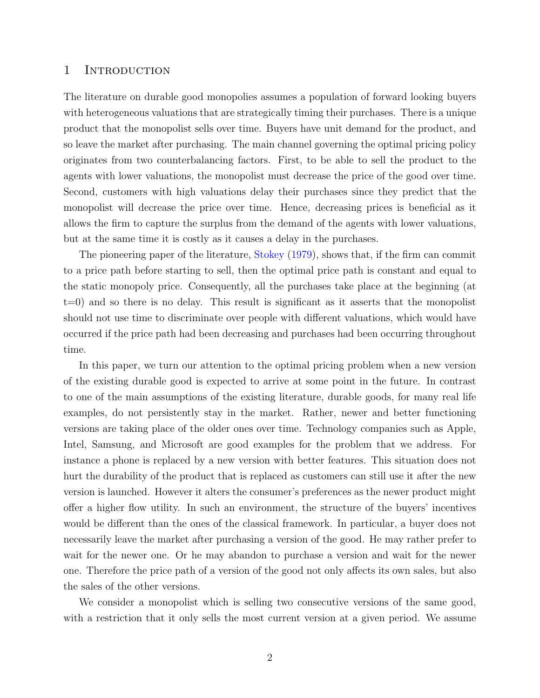#### 1 INTRODUCTION

The literature on durable good monopolies assumes a population of forward looking buyers with heterogeneous valuations that are strategically timing their purchases. There is a unique product that the monopolist sells over time. Buyers have unit demand for the product, and so leave the market after purchasing. The main channel governing the optimal pricing policy originates from two counterbalancing factors. First, to be able to sell the product to the agents with lower valuations, the monopolist must decrease the price of the good over time. Second, customers with high valuations delay their purchases since they predict that the monopolist will decrease the price over time. Hence, decreasing prices is beneficial as it allows the firm to capture the surplus from the demand of the agents with lower valuations, but at the same time it is costly as it causes a delay in the purchases.

The pioneering paper of the literature, [Stokey](#page-36-0) [\(1979\)](#page-36-0), shows that, if the firm can commit to a price path before starting to sell, then the optimal price path is constant and equal to the static monopoly price. Consequently, all the purchases take place at the beginning (at  $t=0$ ) and so there is no delay. This result is significant as it asserts that the monopolist should not use time to discriminate over people with different valuations, which would have occurred if the price path had been decreasing and purchases had been occurring throughout time.

In this paper, we turn our attention to the optimal pricing problem when a new version of the existing durable good is expected to arrive at some point in the future. In contrast to one of the main assumptions of the existing literature, durable goods, for many real life examples, do not persistently stay in the market. Rather, newer and better functioning versions are taking place of the older ones over time. Technology companies such as Apple, Intel, Samsung, and Microsoft are good examples for the problem that we address. For instance a phone is replaced by a new version with better features. This situation does not hurt the durability of the product that is replaced as customers can still use it after the new version is launched. However it alters the consumer's preferences as the newer product might offer a higher flow utility. In such an environment, the structure of the buyers' incentives would be different than the ones of the classical framework. In particular, a buyer does not necessarily leave the market after purchasing a version of the good. He may rather prefer to wait for the newer one. Or he may abandon to purchase a version and wait for the newer one. Therefore the price path of a version of the good not only affects its own sales, but also the sales of the other versions.

We consider a monopolist which is selling two consecutive versions of the same good, with a restriction that it only sells the most current version at a given period. We assume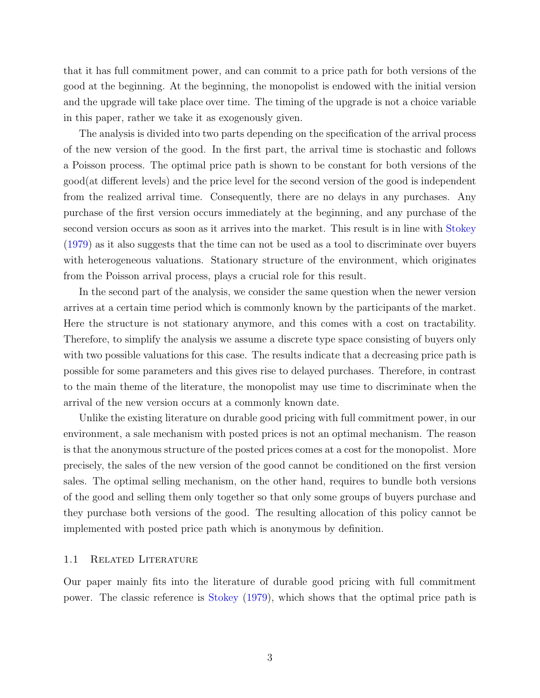that it has full commitment power, and can commit to a price path for both versions of the good at the beginning. At the beginning, the monopolist is endowed with the initial version and the upgrade will take place over time. The timing of the upgrade is not a choice variable in this paper, rather we take it as exogenously given.

The analysis is divided into two parts depending on the specification of the arrival process of the new version of the good. In the first part, the arrival time is stochastic and follows a Poisson process. The optimal price path is shown to be constant for both versions of the good(at different levels) and the price level for the second version of the good is independent from the realized arrival time. Consequently, there are no delays in any purchases. Any purchase of the first version occurs immediately at the beginning, and any purchase of the second version occurs as soon as it arrives into the market. This result is in line with [Stokey](#page-36-0) [\(1979\)](#page-36-0) as it also suggests that the time can not be used as a tool to discriminate over buyers with heterogeneous valuations. Stationary structure of the environment, which originates from the Poisson arrival process, plays a crucial role for this result.

In the second part of the analysis, we consider the same question when the newer version arrives at a certain time period which is commonly known by the participants of the market. Here the structure is not stationary anymore, and this comes with a cost on tractability. Therefore, to simplify the analysis we assume a discrete type space consisting of buyers only with two possible valuations for this case. The results indicate that a decreasing price path is possible for some parameters and this gives rise to delayed purchases. Therefore, in contrast to the main theme of the literature, the monopolist may use time to discriminate when the arrival of the new version occurs at a commonly known date.

Unlike the existing literature on durable good pricing with full commitment power, in our environment, a sale mechanism with posted prices is not an optimal mechanism. The reason is that the anonymous structure of the posted prices comes at a cost for the monopolist. More precisely, the sales of the new version of the good cannot be conditioned on the first version sales. The optimal selling mechanism, on the other hand, requires to bundle both versions of the good and selling them only together so that only some groups of buyers purchase and they purchase both versions of the good. The resulting allocation of this policy cannot be implemented with posted price path which is anonymous by definition.

#### 1.1 Related Literature

Our paper mainly fits into the literature of durable good pricing with full commitment power. The classic reference is [Stokey](#page-36-0) [\(1979\)](#page-36-0), which shows that the optimal price path is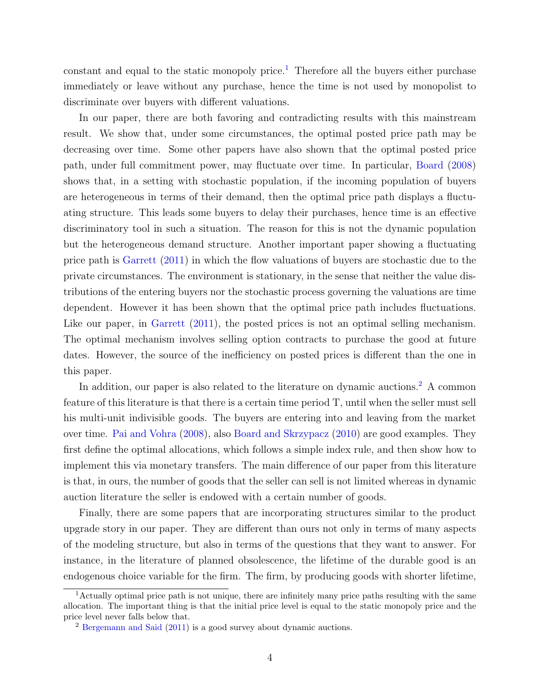constant and equal to the static monopoly price.<sup>[1](#page-4-0)</sup> Therefore all the buyers either purchase immediately or leave without any purchase, hence the time is not used by monopolist to discriminate over buyers with different valuations.

In our paper, there are both favoring and contradicting results with this mainstream result. We show that, under some circumstances, the optimal posted price path may be decreasing over time. Some other papers have also shown that the optimal posted price path, under full commitment power, may fluctuate over time. In particular, [Board](#page-36-1) [\(2008\)](#page-36-1) shows that, in a setting with stochastic population, if the incoming population of buyers are heterogeneous in terms of their demand, then the optimal price path displays a fluctuating structure. This leads some buyers to delay their purchases, hence time is an effective discriminatory tool in such a situation. The reason for this is not the dynamic population but the heterogeneous demand structure. Another important paper showing a fluctuating price path is [Garrett](#page-36-2) [\(2011\)](#page-36-2) in which the flow valuations of buyers are stochastic due to the private circumstances. The environment is stationary, in the sense that neither the value distributions of the entering buyers nor the stochastic process governing the valuations are time dependent. However it has been shown that the optimal price path includes fluctuations. Like our paper, in [Garrett](#page-36-2)  $(2011)$ , the posted prices is not an optimal selling mechanism. The optimal mechanism involves selling option contracts to purchase the good at future dates. However, the source of the inefficiency on posted prices is different than the one in this paper.

In addition, our paper is also related to the literature on dynamic auctions.<sup>[2](#page-4-1)</sup> A common feature of this literature is that there is a certain time period T, until when the seller must sell his multi-unit indivisible goods. The buyers are entering into and leaving from the market over time. [Pai and Vohra](#page-36-3) [\(2008\)](#page-36-3), also [Board and Skrzypacz](#page-36-4) [\(2010\)](#page-36-4) are good examples. They first define the optimal allocations, which follows a simple index rule, and then show how to implement this via monetary transfers. The main difference of our paper from this literature is that, in ours, the number of goods that the seller can sell is not limited whereas in dynamic auction literature the seller is endowed with a certain number of goods.

Finally, there are some papers that are incorporating structures similar to the product upgrade story in our paper. They are different than ours not only in terms of many aspects of the modeling structure, but also in terms of the questions that they want to answer. For instance, in the literature of planned obsolescence, the lifetime of the durable good is an endogenous choice variable for the firm. The firm, by producing goods with shorter lifetime,

<span id="page-4-0"></span><sup>&</sup>lt;sup>1</sup>Actually optimal price path is not unique, there are infinitely many price paths resulting with the same allocation. The important thing is that the initial price level is equal to the static monopoly price and the price level never falls below that.

<span id="page-4-1"></span><sup>2</sup> [Bergemann and Said](#page-36-5) [\(2011\)](#page-36-5) is a good survey about dynamic auctions.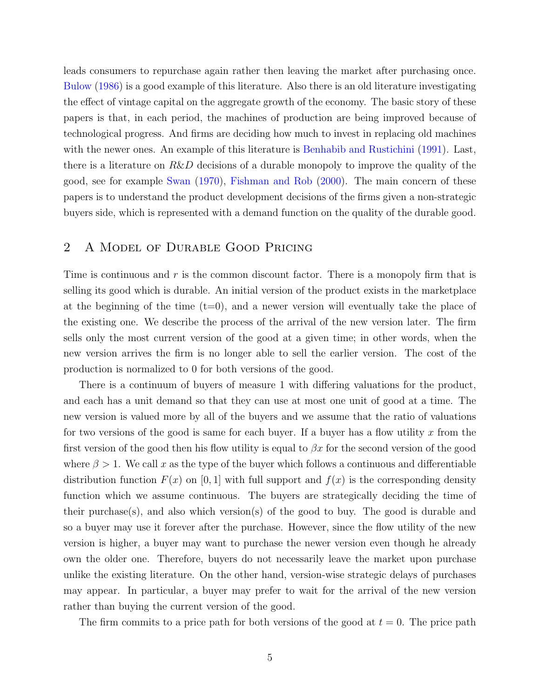leads consumers to repurchase again rather then leaving the market after purchasing once. [Bulow](#page-36-6) [\(1986\)](#page-36-6) is a good example of this literature. Also there is an old literature investigating the effect of vintage capital on the aggregate growth of the economy. The basic story of these papers is that, in each period, the machines of production are being improved because of technological progress. And firms are deciding how much to invest in replacing old machines with the newer ones. An example of this literature is [Benhabib and Rustichini](#page-36-7) [\(1991\)](#page-36-7). Last, there is a literature on  $R\&D$  decisions of a durable monopoly to improve the quality of the good, see for example [Swan](#page-36-8) [\(1970\)](#page-36-8), [Fishman and Rob](#page-36-9) [\(2000\)](#page-36-9). The main concern of these papers is to understand the product development decisions of the firms given a non-strategic buyers side, which is represented with a demand function on the quality of the durable good.

### 2 A Model of Durable Good Pricing

Time is continuous and  $r$  is the common discount factor. There is a monopoly firm that is selling its good which is durable. An initial version of the product exists in the marketplace at the beginning of the time  $(t=0)$ , and a newer version will eventually take the place of the existing one. We describe the process of the arrival of the new version later. The firm sells only the most current version of the good at a given time; in other words, when the new version arrives the firm is no longer able to sell the earlier version. The cost of the production is normalized to 0 for both versions of the good.

There is a continuum of buyers of measure 1 with differing valuations for the product, and each has a unit demand so that they can use at most one unit of good at a time. The new version is valued more by all of the buyers and we assume that the ratio of valuations for two versions of the good is same for each buyer. If a buyer has a flow utility x from the first version of the good then his flow utility is equal to  $\beta x$  for the second version of the good where  $\beta > 1$ . We call x as the type of the buyer which follows a continuous and differentiable distribution function  $F(x)$  on [0, 1] with full support and  $f(x)$  is the corresponding density function which we assume continuous. The buyers are strategically deciding the time of their purchase(s), and also which version(s) of the good to buy. The good is durable and so a buyer may use it forever after the purchase. However, since the flow utility of the new version is higher, a buyer may want to purchase the newer version even though he already own the older one. Therefore, buyers do not necessarily leave the market upon purchase unlike the existing literature. On the other hand, version-wise strategic delays of purchases may appear. In particular, a buyer may prefer to wait for the arrival of the new version rather than buying the current version of the good.

The firm commits to a price path for both versions of the good at  $t = 0$ . The price path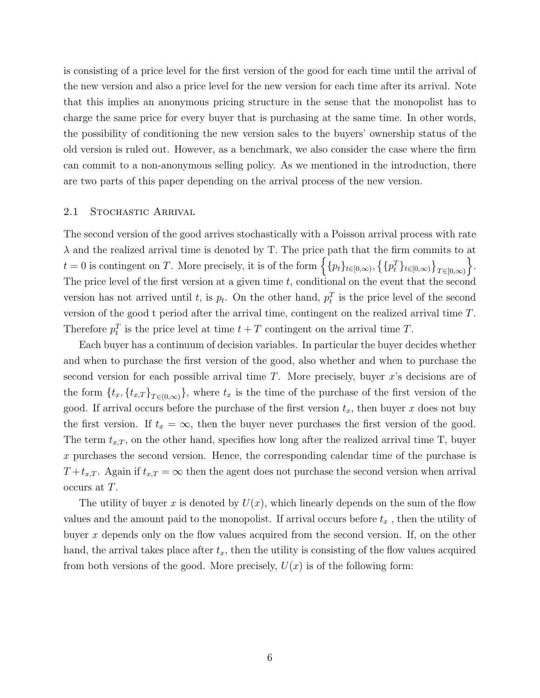is consisting of a price level for the first version of the good for each time until the arrival of the new version and also a price level for the new version for each time after its arrival. Note that this implies an anonymous pricing structure in the sense that the monopolist has to charge the same price for every buyer that is purchasing at the same time. In other words, the possibility of conditioning the new version sales to the buyers' ownership status of the old version is ruled out. However, as a benchmark, we also consider the case where the firm can commit to a non-anonymous selling policy. As we mentioned in the introduction, there are two parts of this paper depending on the arrival process of the new version.

#### 2.1 STOCHASTIC ARRIVAL

The second version of the good arrives stochastically with a Poisson arrival process with rate  $\lambda$  and the realized arrival time is denoted by T. The price path that the firm commits to at  $t = 0$  is contingent on T. More precisely, it is of the form  $\left\{ \{p_t\}_{t\in[0,\infty)}, \{\{p_t^T\}_{t\in[0,\infty)}\}_{T\in[0,\infty)} \right\}$  $\big\}$ . The price level of the first version at a given time  $t$ , conditional on the event that the second version has not arrived until t, is  $p_t$ . On the other hand,  $p_t^T$  is the price level of the second version of the good t period after the arrival time, contingent on the realized arrival time T. Therefore  $p_t^T$  is the price level at time  $t + T$  contingent on the arrival time T.

Each buyer has a continuum of decision variables. In particular the buyer decides whether and when to purchase the first version of the good, also whether and when to purchase the second version for each possible arrival time  $T$ . More precisely, buyer  $x$ 's decisions are of the form  $\{t_x, \{t_{x,T}\}_{T \in (0,\infty)}\}$ , where  $t_x$  is the time of the purchase of the first version of the good. If arrival occurs before the purchase of the first version  $t_x$ , then buyer x does not buy the first version. If  $t_x = \infty$ , then the buyer never purchases the first version of the good. The term  $t_{x,T}$ , on the other hand, specifies how long after the realized arrival time T, buyer x purchases the second version. Hence, the corresponding calendar time of the purchase is  $T+t_{x,T}$ . Again if  $t_{x,T} = \infty$  then the agent does not purchase the second version when arrival occurs at T.

The utility of buyer x is denoted by  $U(x)$ , which linearly depends on the sum of the flow values and the amount paid to the monopolist. If arrival occurs before  $t_x$ , then the utility of buyer x depends only on the flow values acquired from the second version. If, on the other hand, the arrival takes place after  $t_x$ , then the utility is consisting of the flow values acquired from both versions of the good. More precisely,  $U(x)$  is of the following form: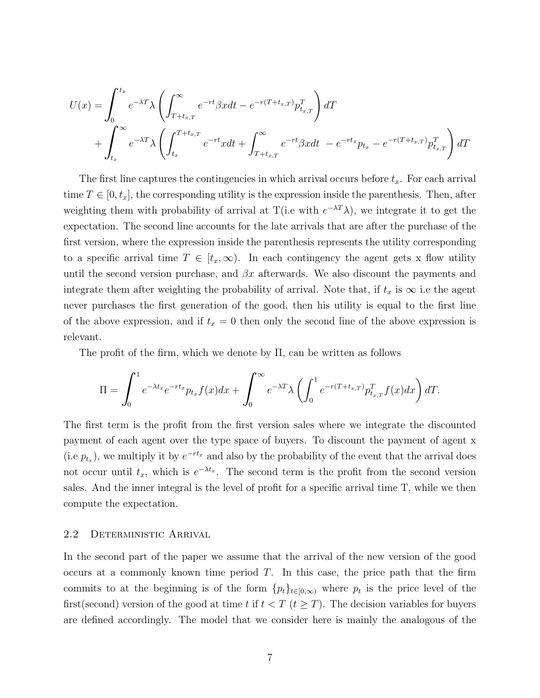$$
U(x) = \int_0^{t_x} e^{-\lambda T} \lambda \left( \int_{T+t_{x,T}}^{\infty} e^{-rt} \beta x dt - e^{-r(T+t_{x,T})} p_{t_{x,T}}^T \right) dT
$$
  
+ 
$$
\int_{t_x}^{\infty} e^{-\lambda T} \lambda \left( \int_{t_x}^{T+t_{x,T}} e^{-rt} x dt + \int_{T+t_{x,T}}^{\infty} e^{-rt} \beta x dt - e^{-rt_x} p_{t_x} - e^{-r(T+t_{x,T})} p_{t_{x,T}}^T \right) dT
$$

The first line captures the contingencies in which arrival occurs before  $t_x$ . For each arrival time  $T \in [0, t_x]$ , the corresponding utility is the expression inside the parenthesis. Then, after weighting them with probability of arrival at T(i.e with  $e^{-\lambda T}\lambda$ ), we integrate it to get the expectation. The second line accounts for the late arrivals that are after the purchase of the first version, where the expression inside the parenthesis represents the utility corresponding to a specific arrival time  $T \in [t_x,\infty)$ . In each contingency the agent gets x flow utility until the second version purchase, and  $\beta x$  afterwards. We also discount the payments and integrate them after weighting the probability of arrival. Note that, if  $t_x$  is  $\infty$  i.e the agent never purchases the first generation of the good, then his utility is equal to the first line of the above expression, and if  $t_x = 0$  then only the second line of the above expression is relevant.

The profit of the firm, which we denote by  $\Pi$ , can be written as follows

$$
\Pi = \int_0^1 e^{-\lambda t_x} e^{-rt_x} p_{t_x} f(x) dx + \int_0^\infty e^{-\lambda T} \lambda \left( \int_0^1 e^{-r(T+t_{x,T})} p_{t_{x,T}}^T f(x) dx \right) dT.
$$

The first term is the profit from the first version sales where we integrate the discounted payment of each agent over the type space of buyers. To discount the payment of agent x (i.e  $p_{t_x}$ ), we multiply it by  $e^{-rt_x}$  and also by the probability of the event that the arrival does not occur until  $t_x$ , which is  $e^{-\lambda t_x}$ . The second term is the profit from the second version sales. And the inner integral is the level of profit for a specific arrival time T, while we then compute the expectation.

#### 2.2 Deterministic Arrival

In the second part of the paper we assume that the arrival of the new version of the good occurs at a commonly known time period  $T$ . In this case, the price path that the firm commits to at the beginning is of the form  ${p_t}_{t\in(0,\infty)}$  where  $p_t$  is the price level of the first(second) version of the good at time t if  $t < T$  ( $t \geq T$ ). The decision variables for buyers are defined accordingly. The model that we consider here is mainly the analogous of the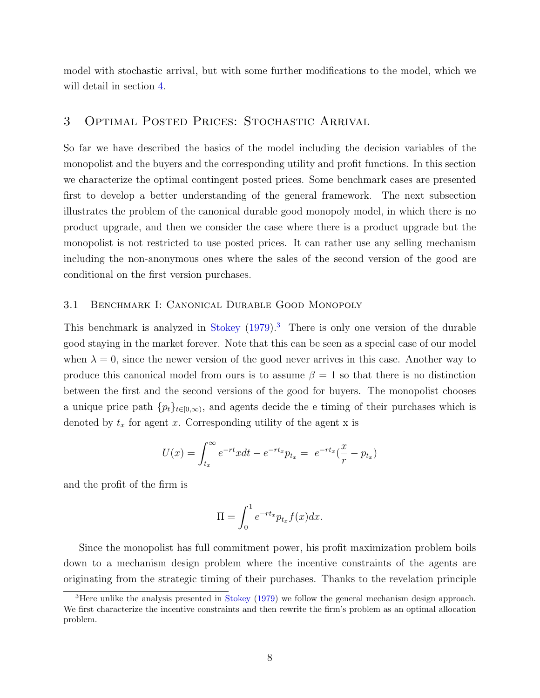model with stochastic arrival, but with some further modifications to the model, which we will detail in section [4.](#page-24-0)

## 3 Optimal Posted Prices: Stochastic Arrival

So far we have described the basics of the model including the decision variables of the monopolist and the buyers and the corresponding utility and profit functions. In this section we characterize the optimal contingent posted prices. Some benchmark cases are presented first to develop a better understanding of the general framework. The next subsection illustrates the problem of the canonical durable good monopoly model, in which there is no product upgrade, and then we consider the case where there is a product upgrade but the monopolist is not restricted to use posted prices. It can rather use any selling mechanism including the non-anonymous ones where the sales of the second version of the good are conditional on the first version purchases.

#### 3.1 Benchmark I: Canonical Durable Good Monopoly

This benchmark is analyzed in [Stokey](#page-36-0)  $(1979)^3$  $(1979)^3$  $(1979)^3$ . There is only one version of the durable good staying in the market forever. Note that this can be seen as a special case of our model when  $\lambda = 0$ , since the newer version of the good never arrives in this case. Another way to produce this canonical model from ours is to assume  $\beta = 1$  so that there is no distinction between the first and the second versions of the good for buyers. The monopolist chooses a unique price path  $\{p_t\}_{t\in[0,\infty)}$ , and agents decide the e-timing of their purchases which is denoted by  $t_x$  for agent x. Corresponding utility of the agent x is

$$
U(x) = \int_{t_x}^{\infty} e^{-rt}xdt - e^{-rt_x}p_{t_x} = e^{-rt_x}(\frac{x}{r} - p_{t_x})
$$

and the profit of the firm is

$$
\Pi = \int_0^1 e^{-rt_x} p_{t_x} f(x) dx.
$$

Since the monopolist has full commitment power, his profit maximization problem boils down to a mechanism design problem where the incentive constraints of the agents are originating from the strategic timing of their purchases. Thanks to the revelation principle

<span id="page-8-0"></span><sup>&</sup>lt;sup>3</sup>Here unlike the analysis presented in [Stokey](#page-36-0) [\(1979\)](#page-36-0) we follow the general mechanism design approach. We first characterize the incentive constraints and then rewrite the firm's problem as an optimal allocation problem.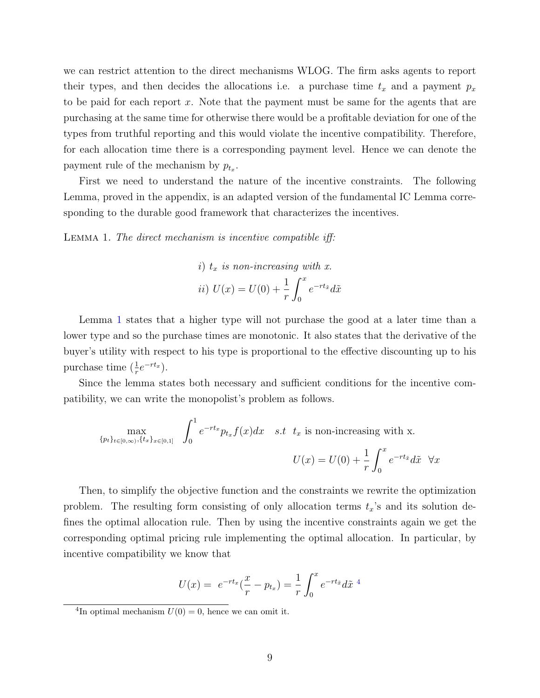we can restrict attention to the direct mechanisms WLOG. The firm asks agents to report their types, and then decides the allocations i.e. a purchase time  $t_x$  and a payment  $p_x$ to be paid for each report  $x$ . Note that the payment must be same for the agents that are purchasing at the same time for otherwise there would be a profitable deviation for one of the types from truthful reporting and this would violate the incentive compatibility. Therefore, for each allocation time there is a corresponding payment level. Hence we can denote the payment rule of the mechanism by  $p_{t_x}$ .

First we need to understand the nature of the incentive constraints. The following Lemma, proved in the appendix, is an adapted version of the fundamental IC Lemma corresponding to the durable good framework that characterizes the incentives.

<span id="page-9-0"></span>Lemma 1. The direct mechanism is incentive compatible iff:

*i)* 
$$
t_x
$$
 is non-increasing with x.  
\n*ii)*  $U(x) = U(0) + \frac{1}{r} \int_0^x e^{-rt_{\tilde{x}}} d\tilde{x}$ 

Lemma [1](#page-9-0) states that a higher type will not purchase the good at a later time than a lower type and so the purchase times are monotonic. It also states that the derivative of the buyer's utility with respect to his type is proportional to the effective discounting up to his purchase time  $(\frac{1}{r}e^{-rt_x}).$ 

Since the lemma states both necessary and sufficient conditions for the incentive compatibility, we can write the monopolist's problem as follows.

$$
\max_{\{p_t\}_{t\in[0,\infty)},\{t_x\}_{x\in[0,1]}} \int_0^1 e^{-rt_x} p_{t_x} f(x) dx \quad s.t \quad t_x \text{ is non-increasing with x.}
$$

$$
U(x) = U(0) + \frac{1}{r} \int_0^x e^{-rt_x} d\tilde{x} \quad \forall x
$$

Then, to simplify the objective function and the constraints we rewrite the optimization problem. The resulting form consisting of only allocation terms  $t_x$ 's and its solution defines the optimal allocation rule. Then by using the incentive constraints again we get the corresponding optimal pricing rule implementing the optimal allocation. In particular, by incentive compatibility we know that

$$
U(x) = e^{-rt_x}(\frac{x}{r} - p_{t_x}) = \frac{1}{r} \int_0^x e^{-rt_{\tilde{x}}} d\tilde{x}^{-4}
$$

<span id="page-9-1"></span><sup>&</sup>lt;sup>4</sup>In optimal mechanism  $U(0) = 0$ , hence we can omit it.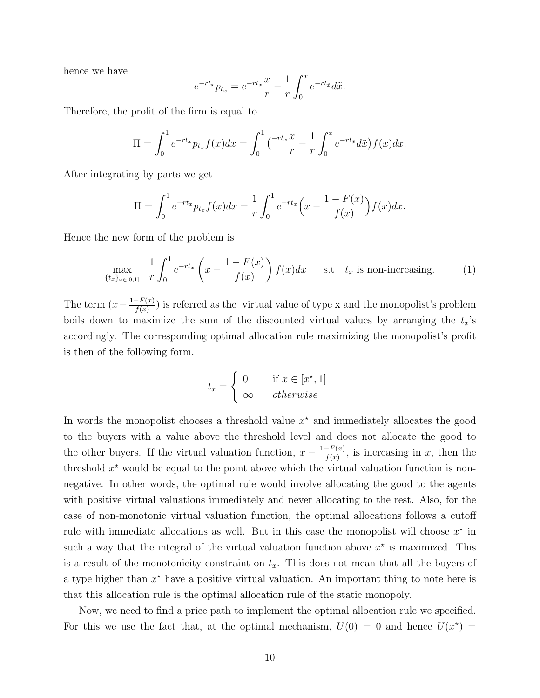hence we have

$$
e^{-rt_x}p_{t_x} = e^{-rt_x}\frac{x}{r} - \frac{1}{r}\int_0^x e^{-rt_{\tilde{x}}}d\tilde{x}.
$$

Therefore, the profit of the firm is equal to

$$
\Pi = \int_0^1 e^{-rt_x} p_{t_x} f(x) dx = \int_0^1 {\left( \frac{-rt_x x}{r} - \frac{1}{r} \int_0^x e^{-rt_{\tilde{x}}} d\tilde{x} \right)} f(x) dx.
$$

After integrating by parts we get

$$
\Pi = \int_0^1 e^{-rt_x} p_{t_x} f(x) dx = \frac{1}{r} \int_0^1 e^{-rt_x} \left( x - \frac{1 - F(x)}{f(x)} \right) f(x) dx.
$$

Hence the new form of the problem is

$$
\max_{\{t_x\}_{x \in [0,1]}} \frac{1}{r} \int_0^1 e^{-rt_x} \left(x - \frac{1 - F(x)}{f(x)}\right) f(x) dx \quad \text{s.t} \quad t_x \text{ is non-increasing.} \tag{1}
$$

The term  $(x - \frac{1-F(x)}{f(x)}$  $\frac{f(x)-f(x)}{f(x)}$  is referred as the virtual value of type x and the monopolist's problem boils down to maximize the sum of the discounted virtual values by arranging the  $t_x$ 's accordingly. The corresponding optimal allocation rule maximizing the monopolist's profit is then of the following form.

<span id="page-10-0"></span>
$$
t_x = \begin{cases} 0 & \text{if } x \in [x^\star, 1] \\ \infty & otherwise \end{cases}
$$

In words the monopolist chooses a threshold value  $x^*$  and immediately allocates the good to the buyers with a value above the threshold level and does not allocate the good to the other buyers. If the virtual valuation function,  $x - \frac{1-F(x)}{f(x)}$  $\frac{f(x)}{f(x)}$ , is increasing in x, then the threshold  $x^*$  would be equal to the point above which the virtual valuation function is nonnegative. In other words, the optimal rule would involve allocating the good to the agents with positive virtual valuations immediately and never allocating to the rest. Also, for the case of non-monotonic virtual valuation function, the optimal allocations follows a cutoff rule with immediate allocations as well. But in this case the monopolist will choose  $x^*$  in such a way that the integral of the virtual valuation function above  $x^*$  is maximized. This is a result of the monotonicity constraint on  $t_x$ . This does not mean that all the buyers of a type higher than  $x^*$  have a positive virtual valuation. An important thing to note here is that this allocation rule is the optimal allocation rule of the static monopoly.

Now, we need to find a price path to implement the optimal allocation rule we specified. For this we use the fact that, at the optimal mechanism,  $U(0) = 0$  and hence  $U(x^*) =$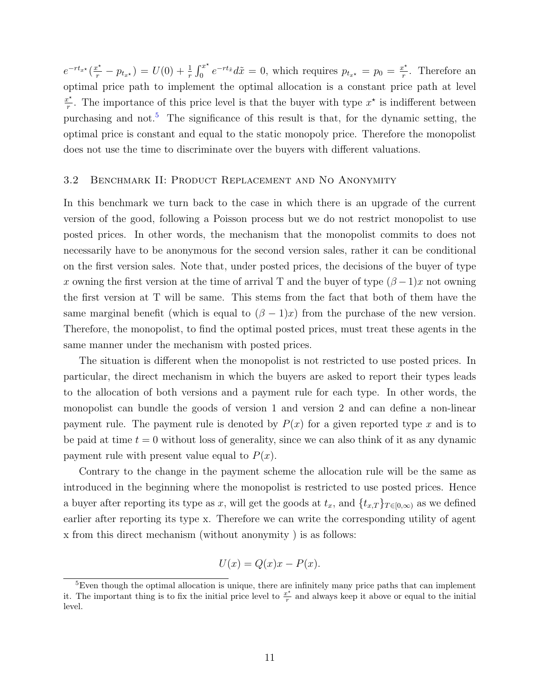$e^{-rt_{x^{\star}}}(\frac{x^{\star}}{r} - p_{t_{x^{\star}}}) = U(0) + \frac{1}{r} \int_0^{x^{\star}}$  $e^{-rt_{\tilde{x}}}d\tilde{x}=0$ , which requires  $p_{t_{x^{\star}}}=p_0=\frac{x^{\star}}{r}$  $\frac{e^{\star}}{r}$ . Therefore an optimal price path to implement the optimal allocation is a constant price path at level  $x^{\star}$  $\frac{x^*}{r}$ . The importance of this price level is that the buyer with type  $x^*$  is indifferent between purchasing and not.[5](#page-11-0) The significance of this result is that, for the dynamic setting, the optimal price is constant and equal to the static monopoly price. Therefore the monopolist does not use the time to discriminate over the buyers with different valuations.

#### 3.2 Benchmark II: Product Replacement and No Anonymity

In this benchmark we turn back to the case in which there is an upgrade of the current version of the good, following a Poisson process but we do not restrict monopolist to use posted prices. In other words, the mechanism that the monopolist commits to does not necessarily have to be anonymous for the second version sales, rather it can be conditional on the first version sales. Note that, under posted prices, the decisions of the buyer of type x owning the first version at the time of arrival T and the buyer of type  $(\beta -1)x$  not owning the first version at T will be same. This stems from the fact that both of them have the same marginal benefit (which is equal to  $(\beta - 1)x$ ) from the purchase of the new version. Therefore, the monopolist, to find the optimal posted prices, must treat these agents in the same manner under the mechanism with posted prices.

The situation is different when the monopolist is not restricted to use posted prices. In particular, the direct mechanism in which the buyers are asked to report their types leads to the allocation of both versions and a payment rule for each type. In other words, the monopolist can bundle the goods of version 1 and version 2 and can define a non-linear payment rule. The payment rule is denoted by  $P(x)$  for a given reported type x and is to be paid at time  $t = 0$  without loss of generality, since we can also think of it as any dynamic payment rule with present value equal to  $P(x)$ .

Contrary to the change in the payment scheme the allocation rule will be the same as introduced in the beginning where the monopolist is restricted to use posted prices. Hence a buyer after reporting its type as x, will get the goods at  $t_x$ , and  $\{t_{x,T}\}_{T\in[0,\infty)}$  as we defined earlier after reporting its type x. Therefore we can write the corresponding utility of agent x from this direct mechanism (without anonymity ) is as follows:

$$
U(x) = Q(x)x - P(x).
$$

<span id="page-11-0"></span><sup>5</sup>Even though the optimal allocation is unique, there are infinitely many price paths that can implement it. The important thing is to fix the initial price level to  $\frac{x^*}{x}$  $\frac{c^2}{r}$  and always keep it above or equal to the initial level.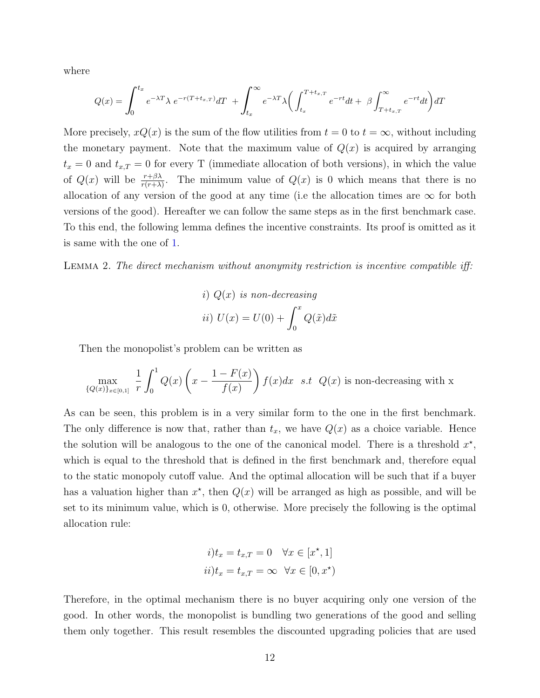where

$$
Q(x) = \int_0^{t_x} e^{-\lambda T} \lambda \ e^{-r(T+t_{x,T})} dT + \int_{t_x}^{\infty} e^{-\lambda T} \lambda \left( \int_{t_x}^{T+t_{x,T}} e^{-rt} dt + \beta \int_{T+t_{x,T}}^{\infty} e^{-rt} dt \right) dT
$$

More precisely,  $xQ(x)$  is the sum of the flow utilities from  $t = 0$  to  $t = \infty$ , without including the monetary payment. Note that the maximum value of  $Q(x)$  is acquired by arranging  $t_x = 0$  and  $t_{x,T} = 0$  for every T (immediate allocation of both versions), in which the value of  $Q(x)$  will be  $\frac{r+\beta\lambda}{r(r+\lambda)}$ . The minimum value of  $Q(x)$  is 0 which means that there is no allocation of any version of the good at any time (i.e the allocation times are  $\infty$  for both versions of the good). Hereafter we can follow the same steps as in the first benchmark case. To this end, the following lemma defines the incentive constraints. Its proof is omitted as it is same with the one of [1.](#page-9-0)

Lemma 2. The direct mechanism without anonymity restriction is incentive compatible iff:

*i)* 
$$
Q(x)
$$
 is non-decreasing  
*ii)*  $U(x) = U(0) + \int_0^x Q(\tilde{x})d\tilde{x}$ 

Then the monopolist's problem can be written as

$$
\max_{\{Q(x)\}_{x\in[0,1]}} \frac{1}{r} \int_0^1 Q(x) \left(x - \frac{1 - F(x)}{f(x)}\right) f(x) dx \text{ s.t } Q(x) \text{ is non-decreasing with x}
$$

As can be seen, this problem is in a very similar form to the one in the first benchmark. The only difference is now that, rather than  $t_x$ , we have  $Q(x)$  as a choice variable. Hence the solution will be analogous to the one of the canonical model. There is a threshold  $x^*$ , which is equal to the threshold that is defined in the first benchmark and, therefore equal to the static monopoly cutoff value. And the optimal allocation will be such that if a buyer has a valuation higher than  $x^*$ , then  $Q(x)$  will be arranged as high as possible, and will be set to its minimum value, which is 0, otherwise. More precisely the following is the optimal allocation rule:

$$
i) t_x = t_{x,T} = 0 \quad \forall x \in [x^*, 1]
$$
  

$$
ii) t_x = t_{x,T} = \infty \quad \forall x \in [0, x^*)
$$

Therefore, in the optimal mechanism there is no buyer acquiring only one version of the good. In other words, the monopolist is bundling two generations of the good and selling them only together. This result resembles the discounted upgrading policies that are used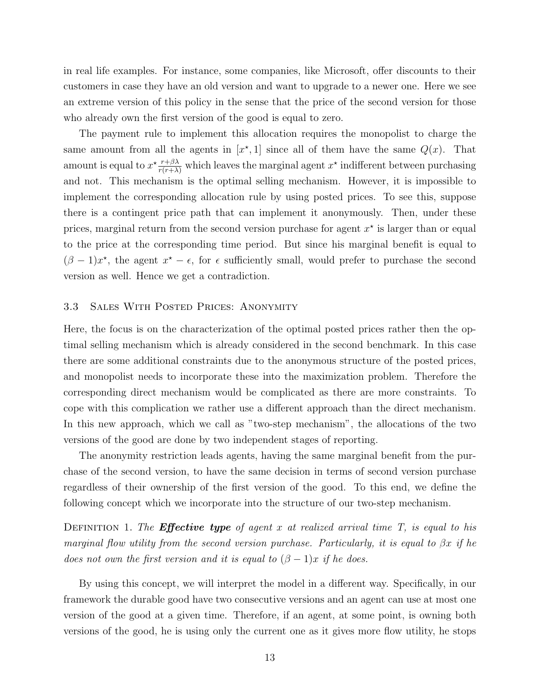in real life examples. For instance, some companies, like Microsoft, offer discounts to their customers in case they have an old version and want to upgrade to a newer one. Here we see an extreme version of this policy in the sense that the price of the second version for those who already own the first version of the good is equal to zero.

The payment rule to implement this allocation requires the monopolist to charge the same amount from all the agents in  $[x^*,1]$  since all of them have the same  $Q(x)$ . That amount is equal to  $x^* \frac{r+\beta\lambda}{r(r+\lambda)}$  which leaves the marginal agent  $x^*$  indifferent between purchasing and not. This mechanism is the optimal selling mechanism. However, it is impossible to implement the corresponding allocation rule by using posted prices. To see this, suppose there is a contingent price path that can implement it anonymously. Then, under these prices, marginal return from the second version purchase for agent  $x^*$  is larger than or equal to the price at the corresponding time period. But since his marginal benefit is equal to  $(\beta - 1)x^*$ , the agent  $x^* - \epsilon$ , for  $\epsilon$  sufficiently small, would prefer to purchase the second version as well. Hence we get a contradiction.

#### 3.3 Sales With Posted Prices: Anonymity

Here, the focus is on the characterization of the optimal posted prices rather then the optimal selling mechanism which is already considered in the second benchmark. In this case there are some additional constraints due to the anonymous structure of the posted prices, and monopolist needs to incorporate these into the maximization problem. Therefore the corresponding direct mechanism would be complicated as there are more constraints. To cope with this complication we rather use a different approach than the direct mechanism. In this new approach, which we call as "two-step mechanism", the allocations of the two versions of the good are done by two independent stages of reporting.

The anonymity restriction leads agents, having the same marginal benefit from the purchase of the second version, to have the same decision in terms of second version purchase regardless of their ownership of the first version of the good. To this end, we define the following concept which we incorporate into the structure of our two-step mechanism.

DEFINITION 1. The **Effective type** of agent x at realized arrival time  $T$ , is equal to his marginal flow utility from the second version purchase. Particularly, it is equal to  $\beta x$  if he does not own the first version and it is equal to  $(\beta - 1)x$  if he does.

By using this concept, we will interpret the model in a different way. Specifically, in our framework the durable good have two consecutive versions and an agent can use at most one version of the good at a given time. Therefore, if an agent, at some point, is owning both versions of the good, he is using only the current one as it gives more flow utility, he stops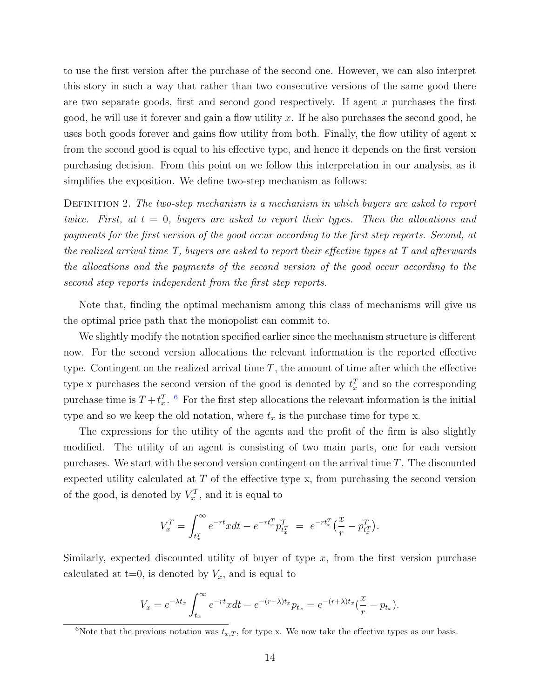to use the first version after the purchase of the second one. However, we can also interpret this story in such a way that rather than two consecutive versions of the same good there are two separate goods, first and second good respectively. If agent  $x$  purchases the first good, he will use it forever and gain a flow utility  $x$ . If he also purchases the second good, he uses both goods forever and gains flow utility from both. Finally, the flow utility of agent x from the second good is equal to his effective type, and hence it depends on the first version purchasing decision. From this point on we follow this interpretation in our analysis, as it simplifies the exposition. We define two-step mechanism as follows:

DEFINITION 2. The two-step mechanism is a mechanism in which buyers are asked to report twice. First, at  $t = 0$ , buyers are asked to report their types. Then the allocations and payments for the first version of the good occur according to the first step reports. Second, at the realized arrival time T, buyers are asked to report their effective types at T and afterwards the allocations and the payments of the second version of the good occur according to the second step reports independent from the first step reports.

Note that, finding the optimal mechanism among this class of mechanisms will give us the optimal price path that the monopolist can commit to.

We slightly modify the notation specified earlier since the mechanism structure is different now. For the second version allocations the relevant information is the reported effective type. Contingent on the realized arrival time  $T$ , the amount of time after which the effective type x purchases the second version of the good is denoted by  $t_x^T$  and so the corresponding purchase time is  $T + t<sub>x</sub><sup>T</sup>$ . <sup>[6](#page-14-0)</sup> For the first step allocations the relevant information is the initial type and so we keep the old notation, where  $t_x$  is the purchase time for type x.

The expressions for the utility of the agents and the profit of the firm is also slightly modified. The utility of an agent is consisting of two main parts, one for each version purchases. We start with the second version contingent on the arrival time  $T$ . The discounted expected utility calculated at  $T$  of the effective type x, from purchasing the second version of the good, is denoted by  $V_x^T$ , and it is equal to

$$
V_x^T = \int_{t_x^T}^{\infty} e^{-rt} x dt - e^{-rt_x^T} p_{t_x^T}^T = e^{-rt_x^T} \left(\frac{x}{r} - p_{t_x^T}^T\right).
$$

Similarly, expected discounted utility of buyer of type  $x$ , from the first version purchase calculated at  $t=0$ , is denoted by  $V_x$ , and is equal to

$$
V_x = e^{-\lambda t_x} \int_{t_x}^{\infty} e^{-rt}x dt - e^{-(r+\lambda)t_x} p_{t_x} = e^{-(r+\lambda)t_x} (\frac{x}{r} - p_{t_x}).
$$

<span id="page-14-0"></span><sup>&</sup>lt;sup>6</sup>Note that the previous notation was  $t_{x,T}$ , for type x. We now take the effective types as our basis.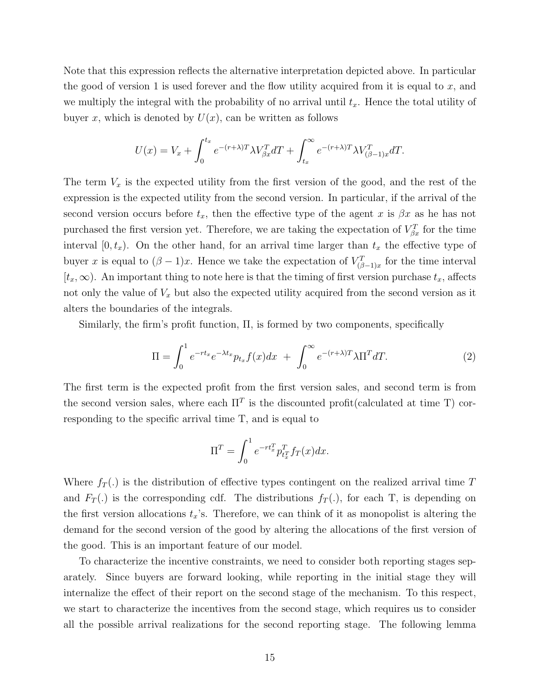Note that this expression reflects the alternative interpretation depicted above. In particular the good of version 1 is used forever and the flow utility acquired from it is equal to  $x$ , and we multiply the integral with the probability of no arrival until  $t<sub>x</sub>$ . Hence the total utility of buyer x, which is denoted by  $U(x)$ , can be written as follows

$$
U(x) = V_x + \int_0^{t_x} e^{-(r+\lambda)T} \lambda V_{\beta x}^T dT + \int_{t_x}^{\infty} e^{-(r+\lambda)T} \lambda V_{(\beta-1)x}^T dT.
$$

The term  $V_x$  is the expected utility from the first version of the good, and the rest of the expression is the expected utility from the second version. In particular, if the arrival of the second version occurs before  $t_x$ , then the effective type of the agent x is  $\beta x$  as he has not purchased the first version yet. Therefore, we are taking the expectation of  $V_{\beta x}^{T}$  for the time interval  $[0, t_x)$ . On the other hand, for an arrival time larger than  $t_x$  the effective type of buyer x is equal to  $(\beta - 1)x$ . Hence we take the expectation of  $V_{(\beta-1)x}^T$  for the time interval  $[t_x,\infty)$ . An important thing to note here is that the timing of first version purchase  $t_x$ , affects not only the value of  $V_x$  but also the expected utility acquired from the second version as it alters the boundaries of the integrals.

Similarly, the firm's profit function, Π, is formed by two components, specifically

$$
\Pi = \int_0^1 e^{-rt_x} e^{-\lambda t_x} p_{t_x} f(x) dx + \int_0^\infty e^{-(r+\lambda)T} \lambda \Pi^T dT.
$$
 (2)

The first term is the expected profit from the first version sales, and second term is from the second version sales, where each  $\Pi^T$  is the discounted profit(calculated at time T) corresponding to the specific arrival time T, and is equal to

$$
\Pi^T = \int_0^1 e^{-rt_x^T} p_{t_x^T}^T f_T(x) dx.
$$

Where  $f_T(.)$  is the distribution of effective types contingent on the realized arrival time T and  $F_T(.)$  is the corresponding cdf. The distributions  $f_T(.)$ , for each T, is depending on the first version allocations  $t_x$ 's. Therefore, we can think of it as monopolist is altering the demand for the second version of the good by altering the allocations of the first version of the good. This is an important feature of our model.

To characterize the incentive constraints, we need to consider both reporting stages separately. Since buyers are forward looking, while reporting in the initial stage they will internalize the effect of their report on the second stage of the mechanism. To this respect, we start to characterize the incentives from the second stage, which requires us to consider all the possible arrival realizations for the second reporting stage. The following lemma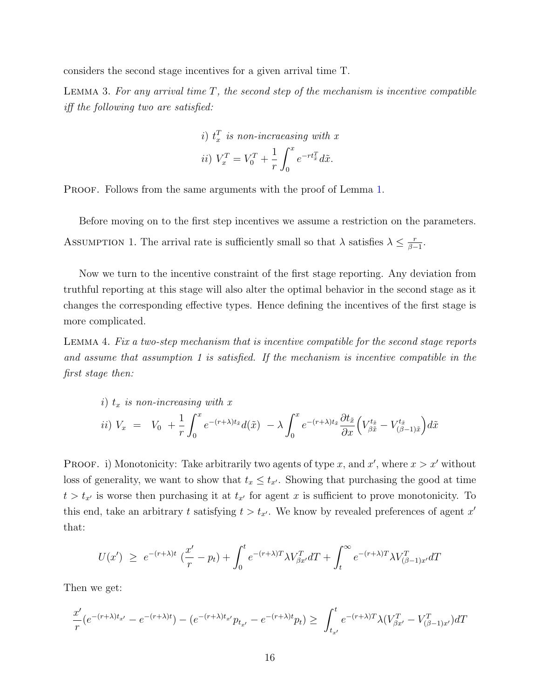considers the second stage incentives for a given arrival time T.

<span id="page-16-0"></span>LEMMA 3. For any arrival time  $T$ , the second step of the mechanism is incentive compatible iff the following two are satisfied:

*i)* 
$$
t_x^T
$$
 is non-increasing with x  
*ii)*  $V_x^T = V_0^T + \frac{1}{r} \int_0^x e^{-rt_x^T} d\tilde{x}$ .

PROOF. Follows from the same arguments with the proof of Lemma [1.](#page-9-0)

Before moving on to the first step incentives we assume a restriction on the parameters. ASSUMPTION 1. The arrival rate is sufficiently small so that  $\lambda$  satisfies  $\lambda \leq \frac{r}{\beta}$  $\frac{r}{\beta-1}$ .

Now we turn to the incentive constraint of the first stage reporting. Any deviation from truthful reporting at this stage will also alter the optimal behavior in the second stage as it changes the corresponding effective types. Hence defining the incentives of the first stage is more complicated.

<span id="page-16-1"></span>Lemma 4. Fix a two-step mechanism that is incentive compatible for the second stage reports and assume that assumption 1 is satisfied. If the mechanism is incentive compatible in the first stage then:

*i)* 
$$
t_x
$$
 *is non-increasing with*  $x$   
*ii)*  $V_x = V_0 + \frac{1}{r} \int_0^x e^{-(r+\lambda)t_{\tilde{x}}} d(\tilde{x}) - \lambda \int_0^x e^{-(r+\lambda)t_{\tilde{x}}} \frac{\partial t_{\tilde{x}}}{\partial x} \left( V_{\beta \tilde{x}}^{t_{\tilde{x}}} - V_{(\beta-1)\tilde{x}}^{t_{\tilde{x}}} \right) d\tilde{x}$ 

**PROOF.** i) Monotonicity: Take arbitrarily two agents of type x, and x', where  $x > x'$  without loss of generality, we want to show that  $t_x \leq t_{x'}$ . Showing that purchasing the good at time  $t > t_{x}$  is worse then purchasing it at  $t_{x}$  for agent x is sufficient to prove monotonicity. To this end, take an arbitrary t satisfying  $t > t_{x'}$ . We know by revealed preferences of agent x' that:

$$
U(x') \geq e^{-(r+\lambda)t} \left(\frac{x'}{r} - p_t\right) + \int_0^t e^{-(r+\lambda)T} \lambda V_{\beta x'}^T dT + \int_t^\infty e^{-(r+\lambda)T} \lambda V_{(\beta-1)x'}^T dT
$$

Then we get:

$$
\frac{x'}{r}(e^{-(r+\lambda)t_{x'}} - e^{-(r+\lambda)t}) - (e^{-(r+\lambda)t_{x'}}p_{t_{x'}} - e^{-(r+\lambda)t}p_t) \ge \int_{t_{x'}}^{t} e^{-(r+\lambda)T} \lambda(V_{\beta x'}^T - V_{(\beta-1)x'}^T) dT
$$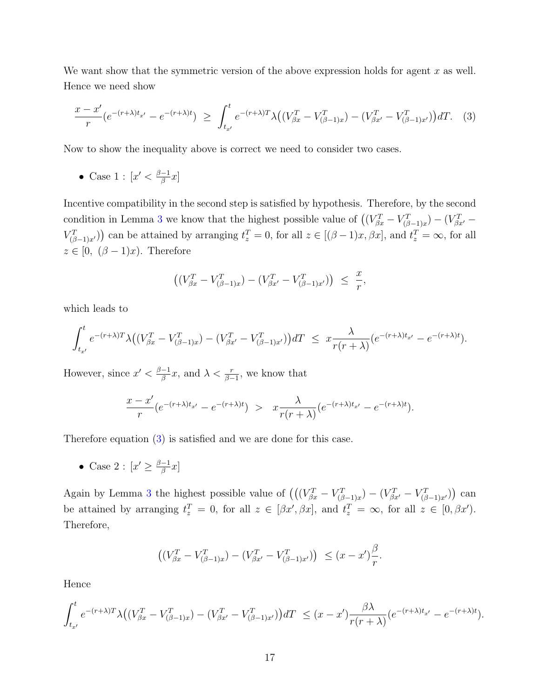We want show that the symmetric version of the above expression holds for agent  $x$  as well. Hence we need show

$$
\frac{x - x'}{r} \left( e^{-(r+\lambda)t_{x'}} - e^{-(r+\lambda)t} \right) \ge \int_{t_{x'}}^{t} e^{-(r+\lambda)T} \lambda \left( \left( V_{\beta x}^{T} - V_{(\beta-1)x}^{T} \right) - \left( V_{\beta x'}^{T} - V_{(\beta-1)x'}^{T} \right) \right) dT. \tag{3}
$$

Now to show the inequality above is correct we need to consider two cases.

• Case 1 :  $|x' < \frac{\beta-1}{\beta}$  $\frac{-1}{\beta}x]$ 

Incentive compatibility in the second step is satisfied by hypothesis. Therefore, by the second condition in Lemma [3](#page-16-0) we know that the highest possible value of  $((V_{\beta x}^T - V_{(\beta-1)x}^T) - (V_{\beta x'}^T - V_{(\beta-1)x}^T)$  $V_{(\beta-1)x'}^T$ ) can be attained by arranging  $t_z^T = 0$ , for all  $z \in [(\beta-1)x, \beta x]$ , and  $t_z^T = \infty$ , for all  $z \in [0, (\beta - 1)x)$ . Therefore

<span id="page-17-0"></span>
$$
\left( \left( V_{\beta x}^T - V_{(\beta-1)x}^T \right) - \left( V_{\beta x'}^T - V_{(\beta-1)x'}^T \right) \right) \leq \frac{x}{r},
$$

which leads to

$$
\int_{t_{x'}}^t e^{-(r+\lambda)T} \lambda \big( (V_{\beta x}^T - V_{(\beta-1)x}^T) - (V_{\beta x'}^T - V_{(\beta-1)x'}^T) \big) dT \leq x \frac{\lambda}{r(r+\lambda)} (e^{-(r+\lambda)t_{x'}} - e^{-(r+\lambda)t}).
$$

However, since  $x' < \frac{\beta - 1}{\beta}$  $\frac{-1}{\beta}x$ , and  $\lambda < \frac{r}{\beta-1}$ , we know that

$$
\frac{x-x'}{r}(e^{-(r+\lambda)t_{x'}}-e^{-(r+\lambda)t}) > x\frac{\lambda}{r(r+\lambda)}(e^{-(r+\lambda)t_{x'}}-e^{-(r+\lambda)t}).
$$

Therefore equation [\(3\)](#page-17-0) is satisfied and we are done for this case.

• Case 2 :  $[x' \geq \frac{\beta-1}{\beta}]$  $\frac{-1}{\beta}x]$ 

Again by Lemma [3](#page-16-0) the highest possible value of  $((V_{\beta x}^T - V_{(\beta-1)x}^T) - (V_{\beta x'}^T - V_{(\beta-1)x'}^T))$  can be attained by arranging  $t_z^T = 0$ , for all  $z \in [\beta x', \beta x]$ , and  $t_z^T = \infty$ , for all  $z \in [0, \beta x']$ . Therefore,

$$
\left( (V_{\beta x}^T - V_{(\beta-1)x}^T) - (V_{\beta x'}^T - V_{(\beta-1)x'}^T) \right) \le (x - x') \frac{\beta}{r}.
$$

Hence

$$
\int_{t_{x'}}^t e^{-(r+\lambda)T} \lambda \big( (V_{\beta x}^T - V_{(\beta-1)x}^T) - (V_{\beta x'}^T - V_{(\beta-1)x'}^T) \big) dT \le (x-x') \frac{\beta \lambda}{r(r+\lambda)} (e^{-(r+\lambda)t_{x'}} - e^{-(r+\lambda)t}).
$$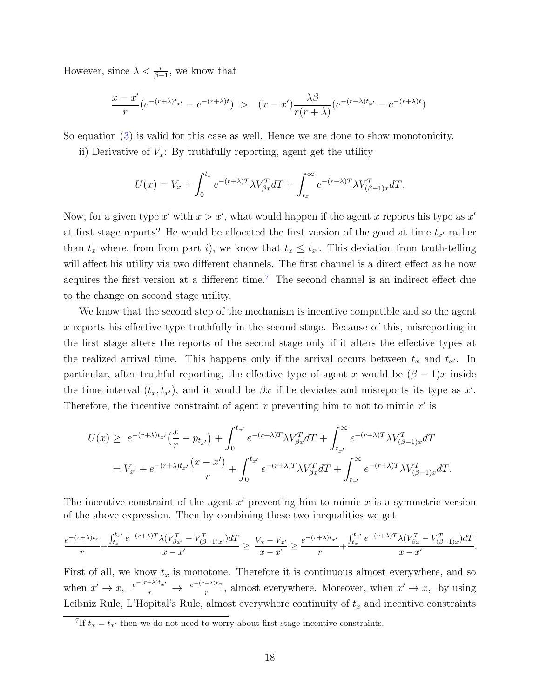However, since  $\lambda < \frac{r}{\beta - 1}$ , we know that

$$
\frac{x-x'}{r}(e^{-(r+\lambda)t_{x'}}-e^{-(r+\lambda)t}) > (x-x')\frac{\lambda\beta}{r(r+\lambda)}(e^{-(r+\lambda)t_{x'}}-e^{-(r+\lambda)t}).
$$

So equation [\(3\)](#page-17-0) is valid for this case as well. Hence we are done to show monotonicity.

ii) Derivative of  $V_x$ : By truthfully reporting, agent get the utility

$$
U(x) = V_x + \int_0^{t_x} e^{-(r+\lambda)T} \lambda V_{\beta x}^T dT + \int_{t_x}^{\infty} e^{-(r+\lambda)T} \lambda V_{(\beta-1)x}^T dT.
$$

Now, for a given type x' with  $x > x'$ , what would happen if the agent x reports his type as  $x'$ at first stage reports? He would be allocated the first version of the good at time  $t_{x'}$  rather than  $t_x$  where, from from part i), we know that  $t_x \leq t_{x'}$ . This deviation from truth-telling will affect his utility via two different channels. The first channel is a direct effect as he now acquires the first version at a different time.[7](#page-18-0) The second channel is an indirect effect due to the change on second stage utility.

We know that the second step of the mechanism is incentive compatible and so the agent x reports his effective type truthfully in the second stage. Because of this, misreporting in the first stage alters the reports of the second stage only if it alters the effective types at the realized arrival time. This happens only if the arrival occurs between  $t_x$  and  $t_{x'}$ . In particular, after truthful reporting, the effective type of agent x would be  $(\beta - 1)x$  inside the time interval  $(t_x, t_{x'})$ , and it would be  $\beta x$  if he deviates and misreports its type as x'. Therefore, the incentive constraint of agent x preventing him to not to mimic  $x'$  is

$$
U(x) \ge e^{-(r+\lambda)t_{x'}} \left(\frac{x}{r} - p_{t_{x'}}\right) + \int_0^{t_{x'}} e^{-(r+\lambda)T} \lambda V_{\beta x}^T dT + \int_{t_{x'}}^{\infty} e^{-(r+\lambda)T} \lambda V_{(\beta-1)x}^T dT
$$
  
=  $V_{x'} + e^{-(r+\lambda)t_{x'}} \frac{(x-x')}{r} + \int_0^{t_{x'}} e^{-(r+\lambda)T} \lambda V_{\beta x}^T dT + \int_{t_{x'}}^{\infty} e^{-(r+\lambda)T} \lambda V_{(\beta-1)x}^T dT.$ 

The incentive constraint of the agent  $x'$  preventing him to mimic  $x$  is a symmetric version of the above expression. Then by combining these two inequalities we get

$$
\frac{e^{-(r+\lambda)t_x}}{r} + \frac{\int_{t_x}^{t_{x'}} e^{-(r+\lambda)T}\lambda(V_{\beta x'}^T - V_{(\beta-1)x'}^T)dT}{x - x'} \ge \frac{V_x - V_{x'}}{x - x'} \ge \frac{e^{-(r+\lambda)t_{x'}}}{r} + \frac{\int_{t_x}^{t_{x'}} e^{-(r+\lambda)T}\lambda(V_{\beta x}^T - V_{(\beta-1)x}^T)dT}{x - x'}.
$$

First of all, we know  $t_x$  is monotone. Therefore it is continuous almost everywhere, and so when  $x' \to x$ ,  $\frac{e^{-(r+\lambda)t}x'}{r}$   $\to \frac{e^{-(r+\lambda)t}x}{r}$ , almost everywhere. Moreover, when  $x' \to x$ , by using Leibniz Rule, L'Hopital's Rule, almost everywhere continuity of  $t_x$  and incentive constraints

<span id="page-18-0"></span><sup>&</sup>lt;sup>7</sup>If  $t_x = t_{x'}$  then we do not need to worry about first stage incentive constraints.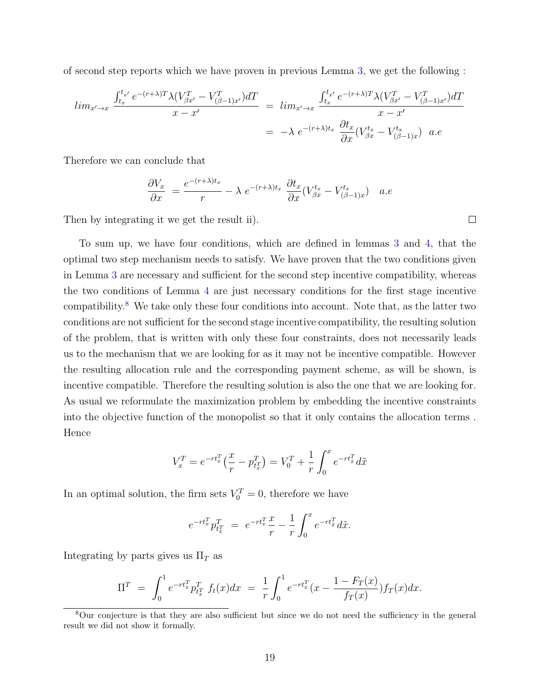of second step reports which we have proven in previous Lemma [3,](#page-16-0) we get the following :

$$
\lim_{x \to x} \frac{\int_{t_x}^{t_{x'}} e^{-(r+\lambda)T} \lambda (V_{\beta x'}^T - V_{(\beta-1)x'}^T) dT}{x - x'} = \lim_{x \to x} \frac{\int_{t_x}^{t_{x'}} e^{-(r+\lambda)T} \lambda (V_{\beta x'}^T - V_{(\beta-1)x'}^T) dT}{x - x'} \n= -\lambda e^{-(r+\lambda)t_x} \frac{\partial t_x}{\partial x} (V_{\beta x}^{t_x} - V_{(\beta-1)x}^{t_x}) \quad a.e
$$

Therefore we can conclude that

$$
\frac{\partial V_x}{\partial x} = \frac{e^{-(r+\lambda)t_x}}{r} - \lambda e^{-(r+\lambda)t_x} \frac{\partial t_x}{\partial x} (V_{\beta x}^{t_x} - V_{(\beta-1)x}^{t_x}) \quad a.e
$$

Then by integrating it we get the result ii).

To sum up, we have four conditions, which are defined in lemmas [3](#page-16-0) and [4,](#page-16-1) that the optimal two step mechanism needs to satisfy. We have proven that the two conditions given in Lemma [3](#page-16-0) are necessary and sufficient for the second step incentive compatibility, whereas the two conditions of Lemma [4](#page-16-1) are just necessary conditions for the first stage incentive compatibility.[8](#page-19-0) We take only these four conditions into account. Note that, as the latter two conditions are not sufficient for the second stage incentive compatibility, the resulting solution of the problem, that is written with only these four constraints, does not necessarily leads us to the mechanism that we are looking for as it may not be incentive compatible. However the resulting allocation rule and the corresponding payment scheme, as will be shown, is incentive compatible. Therefore the resulting solution is also the one that we are looking for. As usual we reformulate the maximization problem by embedding the incentive constraints into the objective function of the monopolist so that it only contains the allocation terms . Hence

$$
V_x^T = e^{-rt_x^T} \left(\frac{x}{r} - p_{t_x^T}^T\right) = V_0^T + \frac{1}{r} \int_0^x e^{-rt_x^T} d\tilde{x}
$$

In an optimal solution, the firm sets  $V_0^T = 0$ , therefore we have

$$
e^{-rt_x^T}p_{t_x^T}^T = e^{-rt_x^T}\frac{x}{r} - \frac{1}{r}\int_0^x e^{-rt_x^T}d\tilde{x}.
$$

Integrating by parts gives us  $\Pi_T$  as

$$
\Pi^T = \int_0^1 e^{-rt_x^T} p_{t_x}^T f_t(x) dx = \frac{1}{r} \int_0^1 e^{-rt_x^T} (x - \frac{1 - F_T(x)}{f_T(x)}) f_T(x) dx.
$$

 $\Box$ 

<span id="page-19-0"></span><sup>8</sup>Our conjecture is that they are also sufficient but since we do not need the sufficiency in the general result we did not show it formally.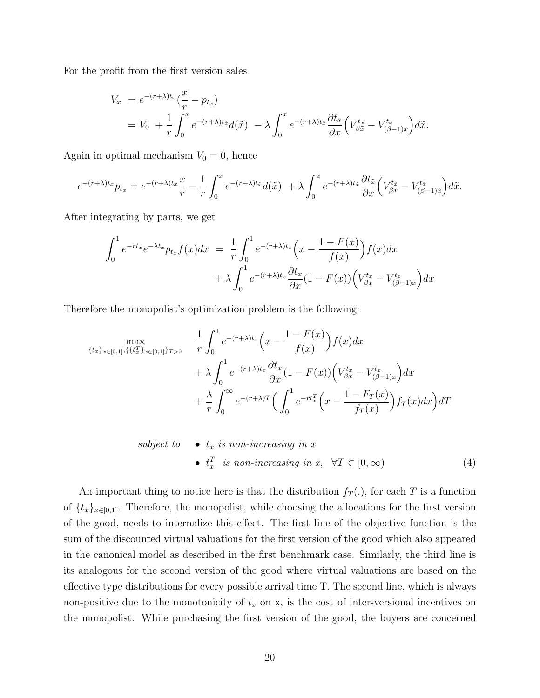For the profit from the first version sales

$$
V_x = e^{-(r+\lambda)t_x}(\frac{x}{r} - p_{t_x})
$$
  
=  $V_0 + \frac{1}{r} \int_0^x e^{-(r+\lambda)t_{\tilde{x}}} d(\tilde{x}) - \lambda \int_0^x e^{-(r+\lambda)t_{\tilde{x}}} \frac{\partial t_{\tilde{x}}}{\partial x} \left( V_{\beta \tilde{x}}^{t_{\tilde{x}}} - V_{(\beta-1)\tilde{x}}^{t_{\tilde{x}}} \right) d\tilde{x}.$ 

Again in optimal mechanism  $V_0 = 0$ , hence

$$
e^{-(r+\lambda)t_x}p_{t_x} = e^{-(r+\lambda)t_x}\frac{x}{r} - \frac{1}{r}\int_0^x e^{-(r+\lambda)t_{\tilde{x}}}d(\tilde{x}) + \lambda \int_0^x e^{-(r+\lambda)t_{\tilde{x}}}\frac{\partial t_{\tilde{x}}}{\partial x}\left(V_{\beta\tilde{x}}^{t_{\tilde{x}}} - V_{(\beta-1)\tilde{x}}^{t_{\tilde{x}}}\right)d\tilde{x}.
$$

After integrating by parts, we get

$$
\int_0^1 e^{-rt_x} e^{-\lambda t_x} p_{t_x} f(x) dx = \frac{1}{r} \int_0^1 e^{-(r+\lambda)t_x} \left(x - \frac{1 - F(x)}{f(x)}\right) f(x) dx
$$

$$
+ \lambda \int_0^1 e^{-(r+\lambda)t_x} \frac{\partial t_x}{\partial x} (1 - F(x)) \left(V_{\beta x}^{t_x} - V_{(\beta-1)x}^{t_x}\right) dx
$$

Therefore the monopolist's optimization problem is the following:

$$
\begin{aligned}\n\max_{\{t_x\}_{x \in [0,1]}, \{\{t_x^T\}_{x \in [0,1]}\}_{T>0}} \quad & \frac{1}{r} \int_0^1 e^{-(r+\lambda)t_x} \left(x - \frac{1 - F(x)}{f(x)}\right) f(x) dx \\
& + \lambda \int_0^1 e^{-(r+\lambda)t_x} \frac{\partial t_x}{\partial x} (1 - F(x)) \left(V_{\beta x}^{t_x} - V_{(\beta-1)x}^{t_x}\right) dx \\
& + \frac{\lambda}{r} \int_0^\infty e^{-(r+\lambda)T} \left(\int_0^1 e^{-rt_x^T} \left(x - \frac{1 - F_T(x)}{f_T(x)}\right) f_T(x) dx\right) dT\n\end{aligned}
$$

<span id="page-20-0"></span>subject to 
$$
\bullet
$$
  $t_x$  is non-increasing in  $x$ \n $\bullet$   $t_x^T$  is non-increasing in  $x$ ,  $\forall T \in [0, \infty)$ \n $(4)$ 

An important thing to notice here is that the distribution  $f_T(.)$ , for each T is a function of  ${t_x}_{x\in[0,1]}$ . Therefore, the monopolist, while choosing the allocations for the first version of the good, needs to internalize this effect. The first line of the objective function is the sum of the discounted virtual valuations for the first version of the good which also appeared in the canonical model as described in the first benchmark case. Similarly, the third line is its analogous for the second version of the good where virtual valuations are based on the effective type distributions for every possible arrival time T. The second line, which is always non-positive due to the monotonicity of  $t_x$  on x, is the cost of inter-versional incentives on the monopolist. While purchasing the first version of the good, the buyers are concerned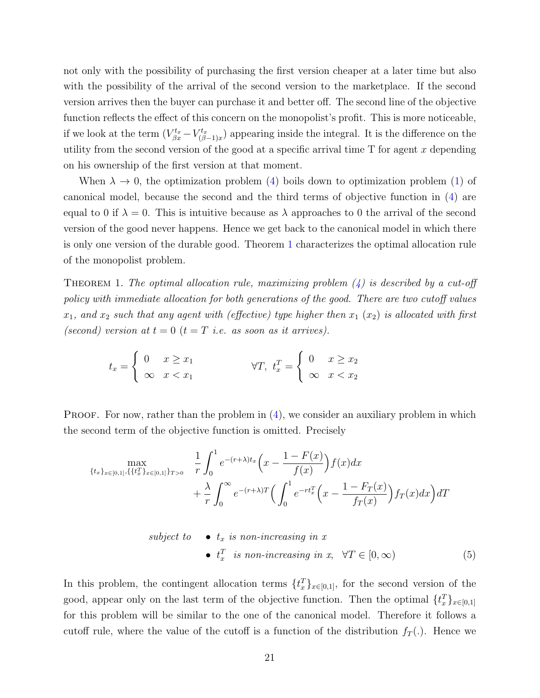not only with the possibility of purchasing the first version cheaper at a later time but also with the possibility of the arrival of the second version to the marketplace. If the second version arrives then the buyer can purchase it and better off. The second line of the objective function reflects the effect of this concern on the monopolist's profit. This is more noticeable, if we look at the term  $(V_{\beta x}^{t_x} - V_{(\beta x)}^{t_x})$  $\binom{rt_x}{(\beta-1)x}$  appearing inside the integral. It is the difference on the utility from the second version of the good at a specific arrival time  $T$  for agent  $x$  depending on his ownership of the first version at that moment.

When  $\lambda \to 0$ , the optimization problem [\(4\)](#page-20-0) boils down to optimization problem [\(1\)](#page-10-0) of canonical model, because the second and the third terms of objective function in [\(4\)](#page-20-0) are equal to 0 if  $\lambda = 0$ . This is intuitive because as  $\lambda$  approaches to 0 the arrival of the second version of the good never happens. Hence we get back to the canonical model in which there is only one version of the durable good. Theorem [1](#page-21-0) characterizes the optimal allocation rule of the monopolist problem.

<span id="page-21-0"></span>THEOREM 1. The optimal allocation rule, maximizing problem  $(4)$  is described by a cut-off policy with immediate allocation for both generations of the good. There are two cutoff values  $x_1$ , and  $x_2$  such that any agent with (effective) type higher then  $x_1(x_2)$  is allocated with first (second) version at  $t = 0$   $(t = T$  i.e. as soon as it arrives).

$$
t_x = \begin{cases} 0 & x \ge x_1 \\ \infty & x < x_1 \end{cases} \quad \forall T, \ t_x^T = \begin{cases} 0 & x \ge x_2 \\ \infty & x < x_2 \end{cases}
$$

**PROOF.** For now, rather than the problem in  $(4)$ , we consider an auxiliary problem in which the second term of the objective function is omitted. Precisely

$$
\max_{\{t_x\}_{x \in [0,1]}, \{\{t_x^T\}_{x \in [0,1]}\}_{T>0}} \frac{1}{r} \int_0^1 e^{-(r+\lambda)t_x} \left(x - \frac{1 - F(x)}{f(x)}\right) f(x) dx + \frac{\lambda}{r} \int_0^\infty e^{-(r+\lambda)T} \left(\int_0^1 e^{-rt_x^T} \left(x - \frac{1 - F_T(x)}{f_T(x)}\right) f_T(x) dx\right) dT
$$

<span id="page-21-1"></span>subject to 
$$
\bullet
$$
  $t_x$  is non-increasing in  $x$ .  $\bullet$   $t_x^T$  is non-increasing in  $x$ ,  $\forall T \in [0, \infty)$   $(5)$ 

In this problem, the contingent allocation terms  $\{t_x^T\}_{x\in[0,1]}$ , for the second version of the good, appear only on the last term of the objective function. Then the optimal  $\{t_x^T\}_{x \in [0,1]}$ for this problem will be similar to the one of the canonical model. Therefore it follows a cutoff rule, where the value of the cutoff is a function of the distribution  $f_T(.)$ . Hence we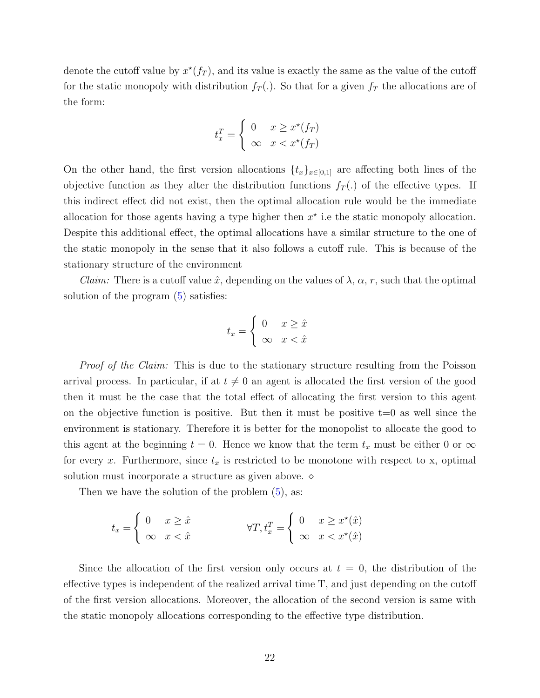denote the cutoff value by  $x^*(f_T)$ , and its value is exactly the same as the value of the cutoff for the static monopoly with distribution  $f_T(.)$ . So that for a given  $f_T$  the allocations are of the form:

$$
t_x^T = \begin{cases} 0 & x \ge x^*(f_T) \\ \infty & x < x^*(f_T) \end{cases}
$$

On the other hand, the first version allocations  $\{t_x\}_{x\in[0,1]}$  are affecting both lines of the objective function as they alter the distribution functions  $f_T(.)$  of the effective types. If this indirect effect did not exist, then the optimal allocation rule would be the immediate allocation for those agents having a type higher then  $x^*$  i.e the static monopoly allocation. Despite this additional effect, the optimal allocations have a similar structure to the one of the static monopoly in the sense that it also follows a cutoff rule. This is because of the stationary structure of the environment

*Claim:* There is a cutoff value  $\hat{x}$ , depending on the values of  $\lambda$ ,  $\alpha$ , r, such that the optimal solution of the program [\(5\)](#page-21-1) satisfies:

$$
t_x = \begin{cases} 0 & x \ge \hat{x} \\ \infty & x < \hat{x} \end{cases}
$$

*Proof of the Claim:* This is due to the stationary structure resulting from the Poisson arrival process. In particular, if at  $t \neq 0$  an agent is allocated the first version of the good then it must be the case that the total effect of allocating the first version to this agent on the objective function is positive. But then it must be positive  $t=0$  as well since the environment is stationary. Therefore it is better for the monopolist to allocate the good to this agent at the beginning  $t = 0$ . Hence we know that the term  $t_x$  must be either 0 or  $\infty$ for every x. Furthermore, since  $t_x$  is restricted to be monotone with respect to x, optimal solution must incorporate a structure as given above.  $\diamond$ 

Then we have the solution of the problem  $(5)$ , as:

$$
t_x = \begin{cases} 0 & x \ge \hat{x} \\ \infty & x < \hat{x} \end{cases} \qquad \qquad \forall T, t_x^T = \begin{cases} 0 & x \ge x^*(\hat{x}) \\ \infty & x < x^*(\hat{x}) \end{cases}
$$

Since the allocation of the first version only occurs at  $t = 0$ , the distribution of the effective types is independent of the realized arrival time T, and just depending on the cutoff of the first version allocations. Moreover, the allocation of the second version is same with the static monopoly allocations corresponding to the effective type distribution.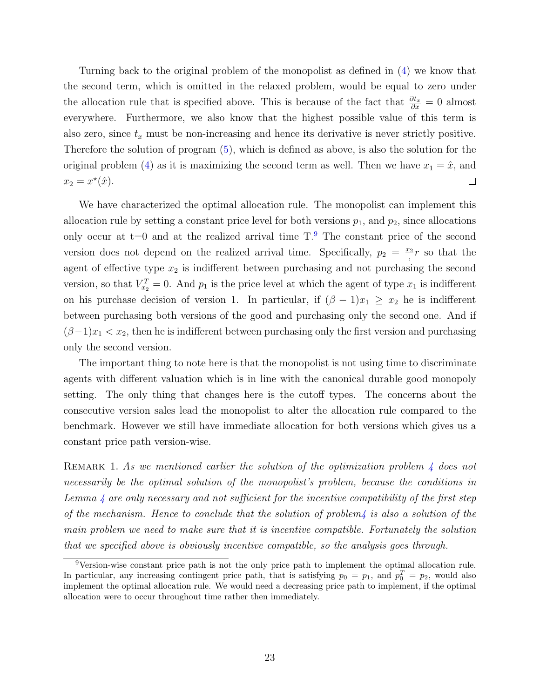Turning back to the original problem of the monopolist as defined in [\(4\)](#page-20-0) we know that the second term, which is omitted in the relaxed problem, would be equal to zero under the allocation rule that is specified above. This is because of the fact that  $\frac{\partial t_x}{\partial x} = 0$  almost everywhere. Furthermore, we also know that the highest possible value of this term is also zero, since  $t_x$  must be non-increasing and hence its derivative is never strictly positive. Therefore the solution of program [\(5\)](#page-21-1), which is defined as above, is also the solution for the original problem [\(4\)](#page-20-0) as it is maximizing the second term as well. Then we have  $x_1 = \hat{x}$ , and  $x_2 = x^*(\hat{x}).$  $\Box$ 

We have characterized the optimal allocation rule. The monopolist can implement this allocation rule by setting a constant price level for both versions  $p_1$ , and  $p_2$ , since allocations only occur at  $t=0$  and at the realized arrival time  $T<sup>9</sup>$  $T<sup>9</sup>$  $T<sup>9</sup>$ . The constant price of the second version does not depend on the realized arrival time. Specifically,  $p_2 = \frac{x_2}{x_1}$  $\frac{c_2}{r}$  so that the agent of effective type  $x_2$  is indifferent between purchasing and not purchasing the second version, so that  $V_{x_2}^T = 0$ . And  $p_1$  is the price level at which the agent of type  $x_1$  is indifferent on his purchase decision of version 1. In particular, if  $(\beta - 1)x_1 \geq x_2$  he is indifferent between purchasing both versions of the good and purchasing only the second one. And if  $(\beta-1)x_1 < x_2$ , then he is indifferent between purchasing only the first version and purchasing only the second version.

The important thing to note here is that the monopolist is not using time to discriminate agents with different valuation which is in line with the canonical durable good monopoly setting. The only thing that changes here is the cutoff types. The concerns about the consecutive version sales lead the monopolist to alter the allocation rule compared to the benchmark. However we still have immediate allocation for both versions which gives us a constant price path version-wise.

REMARK 1. As we mentioned earlier the solution of the optimization problem  $\frac{1}{4}$  $\frac{1}{4}$  $\frac{1}{4}$  does not necessarily be the optimal solution of the monopolist's problem, because the conditions in Lemma [4](#page-16-1) are only necessary and not sufficient for the incentive compatibility of the first step of the mechanism. Hence to conclude that the solution of problem $\mu$  is also a solution of the main problem we need to make sure that it is incentive compatible. Fortunately the solution that we specified above is obviously incentive compatible, so the analysis goes through.

<span id="page-23-0"></span><sup>9</sup>Version-wise constant price path is not the only price path to implement the optimal allocation rule. In particular, any increasing contingent price path, that is satisfying  $p_0 = p_1$ , and  $p_0^T = p_2$ , would also implement the optimal allocation rule. We would need a decreasing price path to implement, if the optimal allocation were to occur throughout time rather then immediately.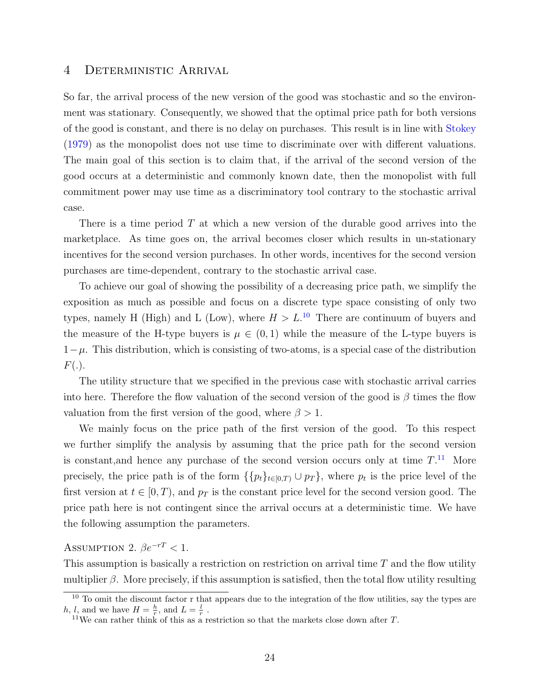#### <span id="page-24-0"></span>4 Deterministic Arrival

So far, the arrival process of the new version of the good was stochastic and so the environment was stationary. Consequently, we showed that the optimal price path for both versions of the good is constant, and there is no delay on purchases. This result is in line with [Stokey](#page-36-0) [\(1979\)](#page-36-0) as the monopolist does not use time to discriminate over with different valuations. The main goal of this section is to claim that, if the arrival of the second version of the good occurs at a deterministic and commonly known date, then the monopolist with full commitment power may use time as a discriminatory tool contrary to the stochastic arrival case.

There is a time period  $T$  at which a new version of the durable good arrives into the marketplace. As time goes on, the arrival becomes closer which results in un-stationary incentives for the second version purchases. In other words, incentives for the second version purchases are time-dependent, contrary to the stochastic arrival case.

To achieve our goal of showing the possibility of a decreasing price path, we simplify the exposition as much as possible and focus on a discrete type space consisting of only two types, namely H (High) and L (Low), where  $H > L^{10}$  $H > L^{10}$  $H > L^{10}$  There are continuum of buyers and the measure of the H-type buyers is  $\mu \in (0,1)$  while the measure of the L-type buyers is  $1-\mu$ . This distribution, which is consisting of two-atoms, is a special case of the distribution  $F(.)$ .

The utility structure that we specified in the previous case with stochastic arrival carries into here. Therefore the flow valuation of the second version of the good is  $\beta$  times the flow valuation from the first version of the good, where  $\beta > 1$ .

We mainly focus on the price path of the first version of the good. To this respect we further simplify the analysis by assuming that the price path for the second version is constant, and hence any purchase of the second version occurs only at time  $T^{11}$  $T^{11}$  $T^{11}$ . More precisely, the price path is of the form  $\{\{p_t\}_{t\in[0,T)}\cup p_T\}$ , where  $p_t$  is the price level of the first version at  $t \in [0, T)$ , and  $p_T$  is the constant price level for the second version good. The price path here is not contingent since the arrival occurs at a deterministic time. We have the following assumption the parameters.

# <span id="page-24-3"></span>ASSUMPTION 2.  $\beta e^{-rT} < 1$ .

This assumption is basically a restriction on restriction on arrival time  $T$  and the flow utility multiplier  $\beta$ . More precisely, if this assumption is satisfied, then the total flow utility resulting

<span id="page-24-1"></span><sup>&</sup>lt;sup>10</sup> To omit the discount factor r that appears due to the integration of the flow utilities, say the types are  $h, l,$  and we have  $H = \frac{h}{r}$ , and  $L = \frac{l}{r}$ .

<span id="page-24-2"></span><sup>&</sup>lt;sup>11</sup>We can rather think of this as a restriction so that the markets close down after  $T$ .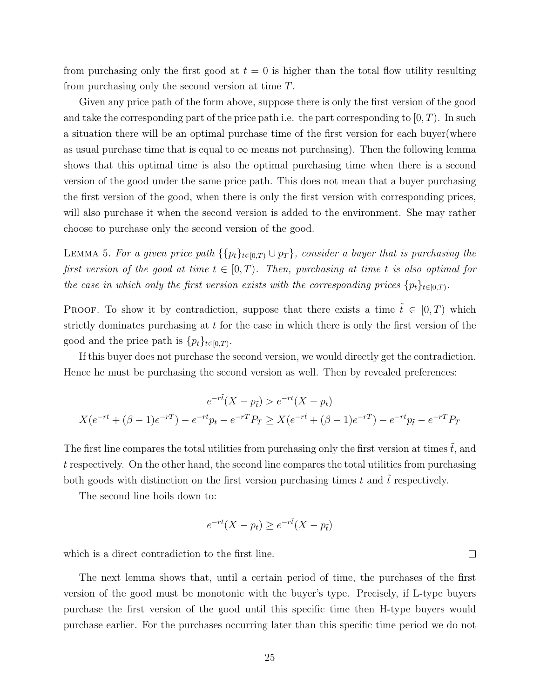from purchasing only the first good at  $t = 0$  is higher than the total flow utility resulting from purchasing only the second version at time T.

Given any price path of the form above, suppose there is only the first version of the good and take the corresponding part of the price path i.e. the part corresponding to  $(0, T)$ . In such a situation there will be an optimal purchase time of the first version for each buyer(where as usual purchase time that is equal to  $\infty$  means not purchasing). Then the following lemma shows that this optimal time is also the optimal purchasing time when there is a second version of the good under the same price path. This does not mean that a buyer purchasing the first version of the good, when there is only the first version with corresponding prices, will also purchase it when the second version is added to the environment. She may rather choose to purchase only the second version of the good.

<span id="page-25-0"></span>LEMMA 5. For a given price path  $\{p_t\}_{t\in[0,T)} \cup p_T\}$ , consider a buyer that is purchasing the first version of the good at time  $t \in [0, T)$ . Then, purchasing at time t is also optimal for the case in which only the first version exists with the corresponding prices  $\{p_t\}_{t\in[0,T)}$ .

**PROOF.** To show it by contradiction, suppose that there exists a time  $\tilde{t} \in [0, T)$  which strictly dominates purchasing at  $t$  for the case in which there is only the first version of the good and the price path is  $\{p_t\}_{t\in[0,T)}$ .

If this buyer does not purchase the second version, we would directly get the contradiction. Hence he must be purchasing the second version as well. Then by revealed preferences:

$$
e^{-r\tilde{t}}(X - p_{\tilde{t}}) > e^{-rt}(X - p_t)
$$

$$
X(e^{-rt} + (\beta - 1)e^{-rT}) - e^{-rt}p_t - e^{-rT}P_T \ge X(e^{-r\tilde{t}} + (\beta - 1)e^{-rT}) - e^{-r\tilde{t}}p_{\tilde{t}} - e^{-rT}P_T
$$

The first line compares the total utilities from purchasing only the first version at times  $\tilde{t}$ , and t respectively. On the other hand, the second line compares the total utilities from purchasing both goods with distinction on the first version purchasing times t and  $\tilde{t}$  respectively.

The second line boils down to:

$$
e^{-rt}(X - p_t) \ge e^{-r\tilde{t}}(X - p_{\tilde{t}})
$$

 $\Box$ 

which is a direct contradiction to the first line.

The next lemma shows that, until a certain period of time, the purchases of the first version of the good must be monotonic with the buyer's type. Precisely, if L-type buyers purchase the first version of the good until this specific time then H-type buyers would purchase earlier. For the purchases occurring later than this specific time period we do not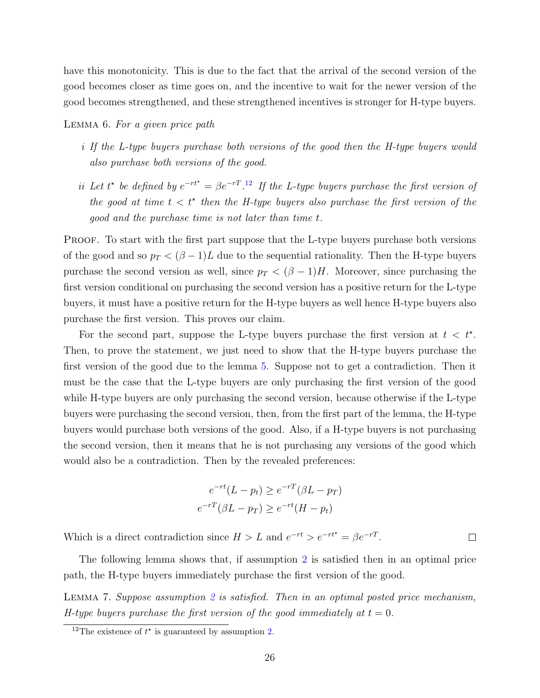have this monotonicity. This is due to the fact that the arrival of the second version of the good becomes closer as time goes on, and the incentive to wait for the newer version of the good becomes strengthened, and these strengthened incentives is stronger for H-type buyers.

<span id="page-26-1"></span>LEMMA 6. For a given price path

- i If the L-type buyers purchase both versions of the good then the H-type buyers would also purchase both versions of the good.
- ii Let t<sup>\*</sup> be defined by  $e^{-rt^*} = \beta e^{-rT}$ .<sup>[12](#page-26-0)</sup> If the L-type buyers purchase the first version of the good at time  $t < t^*$  then the H-type buyers also purchase the first version of the good and the purchase time is not later than time t.

PROOF. To start with the first part suppose that the L-type buyers purchase both versions of the good and so  $p_T < (\beta - 1)L$  due to the sequential rationality. Then the H-type buyers purchase the second version as well, since  $p_T < (\beta - 1)H$ . Moreover, since purchasing the first version conditional on purchasing the second version has a positive return for the L-type buyers, it must have a positive return for the H-type buyers as well hence H-type buyers also purchase the first version. This proves our claim.

For the second part, suppose the L-type buyers purchase the first version at  $t < t^*$ . Then, to prove the statement, we just need to show that the H-type buyers purchase the first version of the good due to the lemma [5.](#page-25-0) Suppose not to get a contradiction. Then it must be the case that the L-type buyers are only purchasing the first version of the good while H-type buyers are only purchasing the second version, because otherwise if the L-type buyers were purchasing the second version, then, from the first part of the lemma, the H-type buyers would purchase both versions of the good. Also, if a H-type buyers is not purchasing the second version, then it means that he is not purchasing any versions of the good which would also be a contradiction. Then by the revealed preferences:

$$
e^{-rt}(L - p_t) \ge e^{-rT}(\beta L - p_T)
$$

$$
e^{-rT}(\beta L - p_T) \ge e^{-rt}(H - p_t)
$$

Which is a direct contradiction since  $H > L$  and  $e^{-rt} > e^{-rt^*} = \beta e^{-rT}$ .

The following lemma shows that, if assumption [2](#page-24-3) is satisfied then in an optimal price path, the H-type buyers immediately purchase the first version of the good.

 $\Box$ 

LEMMA 7. Suppose assumption [2](#page-24-3) is satisfied. Then in an optimal posted price mechanism, H-type buyers purchase the first version of the good immediately at  $t = 0$ .

<span id="page-26-0"></span><sup>&</sup>lt;sup>12</sup>The existence of  $t^*$  is guaranteed by assumption [2.](#page-24-3)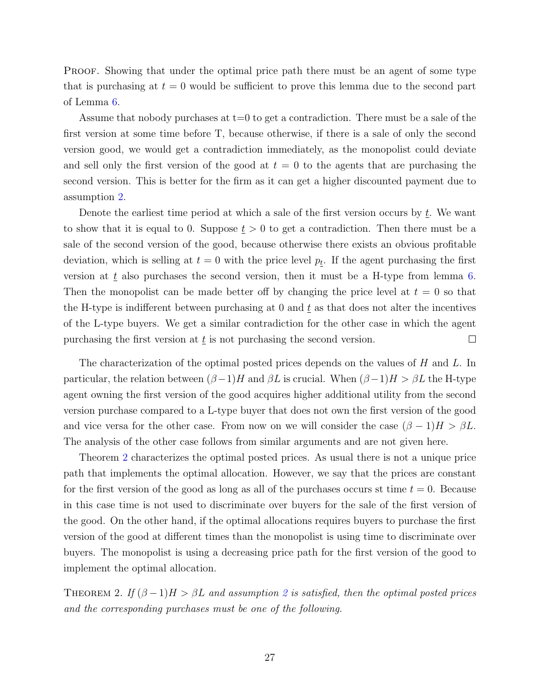PROOF. Showing that under the optimal price path there must be an agent of some type that is purchasing at  $t = 0$  would be sufficient to prove this lemma due to the second part of Lemma [6.](#page-26-1)

Assume that nobody purchases at t=0 to get a contradiction. There must be a sale of the first version at some time before T, because otherwise, if there is a sale of only the second version good, we would get a contradiction immediately, as the monopolist could deviate and sell only the first version of the good at  $t = 0$  to the agents that are purchasing the second version. This is better for the firm as it can get a higher discounted payment due to assumption [2.](#page-24-3)

Denote the earliest time period at which a sale of the first version occurs by  $\underline{t}$ . We want to show that it is equal to 0. Suppose  $t > 0$  to get a contradiction. Then there must be a sale of the second version of the good, because otherwise there exists an obvious profitable deviation, which is selling at  $t = 0$  with the price level  $p_t$ . If the agent purchasing the first version at  $\underline{t}$  also purchases the second version, then it must be a H-type from lemma [6.](#page-26-1) Then the monopolist can be made better off by changing the price level at  $t = 0$  so that the H-type is indifferent between purchasing at 0 and  $\bar{t}$  as that does not alter the incentives of the L-type buyers. We get a similar contradiction for the other case in which the agent purchasing the first version at  $t$  is not purchasing the second version.  $\Box$ 

The characterization of the optimal posted prices depends on the values of H and L. In particular, the relation between  $(\beta-1)H$  and  $\beta L$  is crucial. When  $(\beta-1)H > \beta L$  the H-type agent owning the first version of the good acquires higher additional utility from the second version purchase compared to a L-type buyer that does not own the first version of the good and vice versa for the other case. From now on we will consider the case  $(\beta - 1)H > \beta L$ . The analysis of the other case follows from similar arguments and are not given here.

Theorem [2](#page-27-0) characterizes the optimal posted prices. As usual there is not a unique price path that implements the optimal allocation. However, we say that the prices are constant for the first version of the good as long as all of the purchases occurs st time  $t = 0$ . Because in this case time is not used to discriminate over buyers for the sale of the first version of the good. On the other hand, if the optimal allocations requires buyers to purchase the first version of the good at different times than the monopolist is using time to discriminate over buyers. The monopolist is using a decreasing price path for the first version of the good to implement the optimal allocation.

<span id="page-27-0"></span>THEOREM [2](#page-24-3). If  $(\beta - 1)H > \beta L$  and assumption 2 is satisfied, then the optimal posted prices and the corresponding purchases must be one of the following.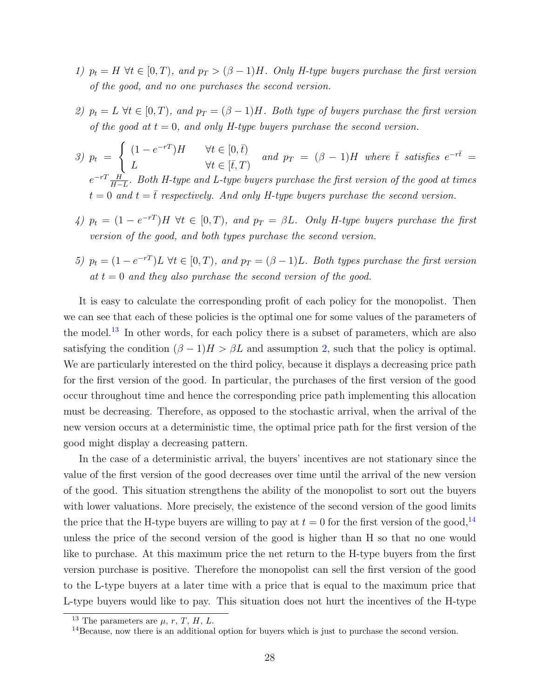- 1)  $p_t = H \ \forall t \in [0, T)$ , and  $p_T > (\beta 1)H$ . Only H-type buyers purchase the first version of the good, and no one purchases the second version.
- 2)  $p_t = L \ \forall t \in [0, T)$ , and  $p_T = (\beta 1)H$ . Both type of buyers purchase the first version of the good at  $t = 0$ , and only H-type buyers purchase the second version.
- 3)  $p_t =$  $\int (1 - e^{-rT})H \quad \forall t \in [0, \bar{t})$ L  $\forall t \in [\bar{t}, T)$ and  $p_T = (\beta - 1)H$  where  $\bar{t}$  satisfies  $e^{-r\bar{t}} =$  $e^{-rT} \frac{H}{H_{-}}$  $\frac{H}{H-L}$ . Both H-type and L-type buyers purchase the first version of the good at times  $t = 0$  and  $t = \bar{t}$  respectively. And only H-type buyers purchase the second version.
- 4)  $p_t = (1 e^{-rT})H$   $\forall t \in [0, T)$ , and  $p_T = \beta L$ . Only H-type buyers purchase the first version of the good, and both types purchase the second version.
- 5)  $p_t = (1 e^{-rT})L \ \forall t \in [0, T)$ , and  $p_T = (\beta 1)L$ . Both types purchase the first version at  $t = 0$  and they also purchase the second version of the good.

It is easy to calculate the corresponding profit of each policy for the monopolist. Then we can see that each of these policies is the optimal one for some values of the parameters of the model.[13](#page-28-0) In other words, for each policy there is a subset of parameters, which are also satisfying the condition  $(\beta - 1)H > \beta L$  and assumption [2,](#page-24-3) such that the policy is optimal. We are particularly interested on the third policy, because it displays a decreasing price path for the first version of the good. In particular, the purchases of the first version of the good occur throughout time and hence the corresponding price path implementing this allocation must be decreasing. Therefore, as opposed to the stochastic arrival, when the arrival of the new version occurs at a deterministic time, the optimal price path for the first version of the good might display a decreasing pattern.

In the case of a deterministic arrival, the buyers' incentives are not stationary since the value of the first version of the good decreases over time until the arrival of the new version of the good. This situation strengthens the ability of the monopolist to sort out the buyers with lower valuations. More precisely, the existence of the second version of the good limits the price that the H-type buyers are willing to pay at  $t = 0$  for the first version of the good,<sup>[14](#page-28-1)</sup> unless the price of the second version of the good is higher than H so that no one would like to purchase. At this maximum price the net return to the H-type buyers from the first version purchase is positive. Therefore the monopolist can sell the first version of the good to the L-type buyers at a later time with a price that is equal to the maximum price that L-type buyers would like to pay. This situation does not hurt the incentives of the H-type

<span id="page-28-0"></span><sup>&</sup>lt;sup>13</sup> The parameters are  $\mu$ , r, T, H, L.

<span id="page-28-1"></span> $14$ Because, now there is an additional option for buyers which is just to purchase the second version.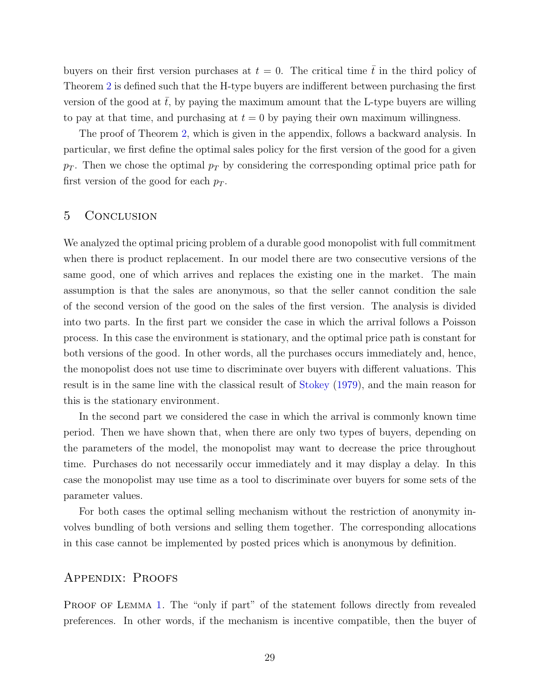buyers on their first version purchases at  $t = 0$ . The critical time  $\bar{t}$  in the third policy of Theorem [2](#page-27-0) is defined such that the H-type buyers are indifferent between purchasing the first version of the good at  $\bar{t}$ , by paying the maximum amount that the L-type buyers are willing to pay at that time, and purchasing at  $t = 0$  by paying their own maximum willingness.

The proof of Theorem [2,](#page-27-0) which is given in the appendix, follows a backward analysis. In particular, we first define the optimal sales policy for the first version of the good for a given  $p_T$ . Then we chose the optimal  $p_T$  by considering the corresponding optimal price path for first version of the good for each  $p_T$ .

#### 5 Conclusion

We analyzed the optimal pricing problem of a durable good monopolist with full commitment when there is product replacement. In our model there are two consecutive versions of the same good, one of which arrives and replaces the existing one in the market. The main assumption is that the sales are anonymous, so that the seller cannot condition the sale of the second version of the good on the sales of the first version. The analysis is divided into two parts. In the first part we consider the case in which the arrival follows a Poisson process. In this case the environment is stationary, and the optimal price path is constant for both versions of the good. In other words, all the purchases occurs immediately and, hence, the monopolist does not use time to discriminate over buyers with different valuations. This result is in the same line with the classical result of [Stokey](#page-36-0) [\(1979\)](#page-36-0), and the main reason for this is the stationary environment.

In the second part we considered the case in which the arrival is commonly known time period. Then we have shown that, when there are only two types of buyers, depending on the parameters of the model, the monopolist may want to decrease the price throughout time. Purchases do not necessarily occur immediately and it may display a delay. In this case the monopolist may use time as a tool to discriminate over buyers for some sets of the parameter values.

For both cases the optimal selling mechanism without the restriction of anonymity involves bundling of both versions and selling them together. The corresponding allocations in this case cannot be implemented by posted prices which is anonymous by definition.

#### Appendix: Proofs

PROOF OF LEMMA [1](#page-9-0). The "only if part" of the statement follows directly from revealed preferences. In other words, if the mechanism is incentive compatible, then the buyer of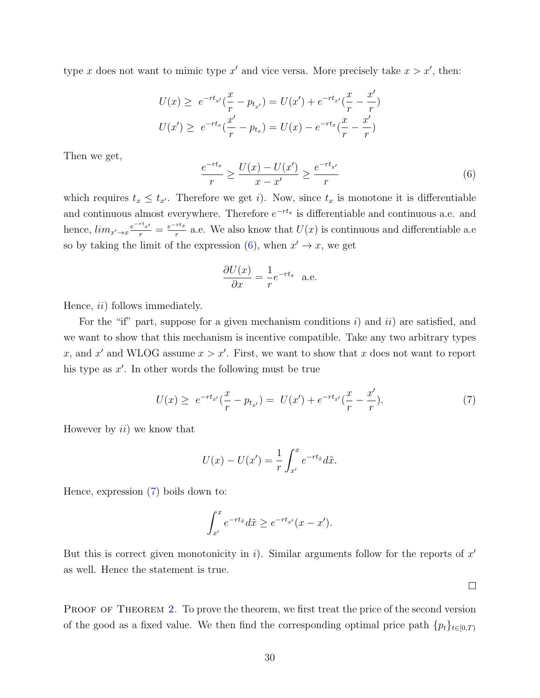type x does not want to mimic type x' and vice versa. More precisely take  $x > x'$ , then:

$$
U(x) \ge e^{-rt_{x'}}(\frac{x}{r} - p_{t_{x'}}) = U(x') + e^{-rt_{x'}}(\frac{x}{r} - \frac{x'}{r})
$$
  

$$
U(x') \ge e^{-rt_{x}}(\frac{x'}{r} - p_{t_{x}}) = U(x) - e^{-rt_{x}}(\frac{x}{r} - \frac{x'}{r})
$$

Then we get,

<span id="page-30-0"></span>
$$
\frac{e^{-rt_x}}{r} \ge \frac{U(x) - U(x')}{x - x'} \ge \frac{e^{-rt_{x'}}}{r}
$$
(6)

which requires  $t_x \leq t_{x'}$ . Therefore we get i). Now, since  $t_x$  is monotone it is differentiable and continuous almost everywhere. Therefore  $e^{-rt_x}$  is differentiable and continuous a.e. and hence,  $\lim_{x' \to x} \frac{e^{-rt_{x'}}}{r} = \frac{e^{-rt_x}}{r}$  $\frac{r_{tx}}{r}$  a.e. We also know that  $U(x)$  is continuous and differentiable a.e. so by taking the limit of the expression [\(6\)](#page-30-0), when  $x' \to x$ , we get

$$
\frac{\partial U(x)}{\partial x} = \frac{1}{r} e^{-rt_x} \quad \text{a.e.}
$$

Hence, *ii*) follows immediately.

For the "if" part, suppose for a given mechanism conditions i) and  $ii$  are satisfied, and we want to show that this mechanism is incentive compatible. Take any two arbitrary types x, and x' and WLOG assume  $x > x'$ . First, we want to show that x does not want to report his type as  $x'$ . In other words the following must be true

<span id="page-30-1"></span>
$$
U(x) \ge e^{-rt_{x'}}(\frac{x}{r} - p_{t_{x'}}) = U(x') + e^{-rt_{x'}}(\frac{x}{r} - \frac{x'}{r}).
$$
\n(7)

However by  $ii)$  we know that

$$
U(x) - U(x') = \frac{1}{r} \int_{x'}^{x} e^{-rt_{\tilde{x}}} d\tilde{x}.
$$

Hence, expression [\(7\)](#page-30-1) boils down to:

$$
\int_{x'}^{x} e^{-rt_{\tilde{x}}} d\tilde{x} \geq e^{-rt_{x'}}(x-x').
$$

But this is correct given monotonicity in i). Similar arguments follow for the reports of  $x'$ as well. Hence the statement is true.

 $\Box$ 

PROOF OF THEOREM [2](#page-27-0). To prove the theorem, we first treat the price of the second version of the good as a fixed value. We then find the corresponding optimal price path  ${p_t}_{t\in[0,T)}$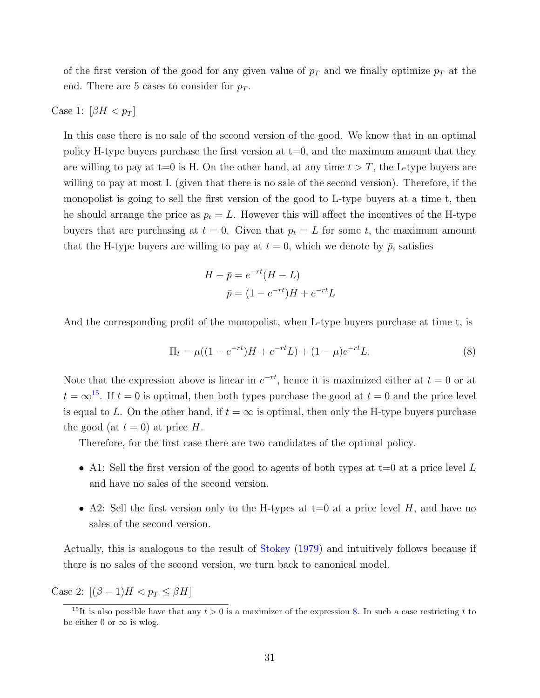of the first version of the good for any given value of  $p_T$  and we finally optimize  $p_T$  at the end. There are 5 cases to consider for  $p_T$ .

#### Case 1:  $\left[\beta H < p_T\right]$

In this case there is no sale of the second version of the good. We know that in an optimal policy H-type buyers purchase the first version at  $t=0$ , and the maximum amount that they are willing to pay at t=0 is H. On the other hand, at any time  $t > T$ , the L-type buyers are willing to pay at most L (given that there is no sale of the second version). Therefore, if the monopolist is going to sell the first version of the good to L-type buyers at a time t, then he should arrange the price as  $p_t = L$ . However this will affect the incentives of the H-type buyers that are purchasing at  $t = 0$ . Given that  $p_t = L$  for some t, the maximum amount that the H-type buyers are willing to pay at  $t = 0$ , which we denote by  $\bar{p}$ , satisfies

<span id="page-31-1"></span>
$$
H - \bar{p} = e^{-rt}(H - L)
$$

$$
\bar{p} = (1 - e^{-rt})H + e^{-rt}L
$$

And the corresponding profit of the monopolist, when L-type buyers purchase at time t, is

$$
\Pi_t = \mu((1 - e^{-rt})H + e^{-rt}L) + (1 - \mu)e^{-rt}L.
$$
\n(8)

Note that the expression above is linear in  $e^{-rt}$ , hence it is maximized either at  $t = 0$  or at  $t = \infty^{15}$  $t = \infty^{15}$  $t = \infty^{15}$ . If  $t = 0$  is optimal, then both types purchase the good at  $t = 0$  and the price level is equal to L. On the other hand, if  $t = \infty$  is optimal, then only the H-type buyers purchase the good (at  $t = 0$ ) at price H.

Therefore, for the first case there are two candidates of the optimal policy.

- A1: Sell the first version of the good to agents of both types at  $t=0$  at a price level L and have no sales of the second version.
- A2: Sell the first version only to the H-types at  $t=0$  at a price level H, and have no sales of the second version.

Actually, this is analogous to the result of [Stokey](#page-36-0) [\(1979\)](#page-36-0) and intuitively follows because if there is no sales of the second version, we turn back to canonical model.

Case 2:  $[(\beta - 1)H < p_T \leq \beta H]$ 

<span id="page-31-0"></span><sup>&</sup>lt;sup>15</sup>It is also possible have that any  $t > 0$  is a maximizer of the expression [8.](#page-31-1) In such a case restricting t to be either 0 or  $\infty$  is wlog.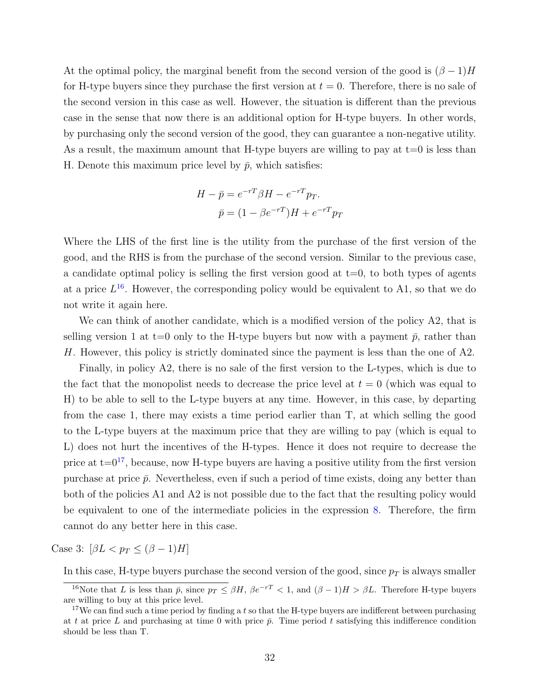At the optimal policy, the marginal benefit from the second version of the good is  $(\beta - 1)H$ for H-type buyers since they purchase the first version at  $t = 0$ . Therefore, there is no sale of the second version in this case as well. However, the situation is different than the previous case in the sense that now there is an additional option for H-type buyers. In other words, by purchasing only the second version of the good, they can guarantee a non-negative utility. As a result, the maximum amount that H-type buyers are willing to pay at  $t=0$  is less than H. Denote this maximum price level by  $\bar{p}$ , which satisfies:

$$
H - \bar{p} = e^{-rT} \beta H - e^{-rT} p_T.
$$

$$
\bar{p} = (1 - \beta e^{-rT})H + e^{-rT} p_T
$$

Where the LHS of the first line is the utility from the purchase of the first version of the good, and the RHS is from the purchase of the second version. Similar to the previous case, a candidate optimal policy is selling the first version good at  $t=0$ , to both types of agents at a price  $L^{16}$  $L^{16}$  $L^{16}$ . However, the corresponding policy would be equivalent to A1, so that we do not write it again here.

We can think of another candidate, which is a modified version of the policy A2, that is selling version 1 at t=0 only to the H-type buyers but now with a payment  $\bar{p}$ , rather than H. However, this policy is strictly dominated since the payment is less than the one of A2.

Finally, in policy A2, there is no sale of the first version to the L-types, which is due to the fact that the monopolist needs to decrease the price level at  $t = 0$  (which was equal to H) to be able to sell to the L-type buyers at any time. However, in this case, by departing from the case 1, there may exists a time period earlier than T, at which selling the good to the L-type buyers at the maximum price that they are willing to pay (which is equal to L) does not hurt the incentives of the H-types. Hence it does not require to decrease the price at  $t=0^{17}$  $t=0^{17}$  $t=0^{17}$ , because, now H-type buyers are having a positive utility from the first version purchase at price  $\bar{p}$ . Nevertheless, even if such a period of time exists, doing any better than both of the policies A1 and A2 is not possible due to the fact that the resulting policy would be equivalent to one of the intermediate policies in the expression [8.](#page-31-1) Therefore, the firm cannot do any better here in this case.

Case 3:  $\left[\beta L < p \right] \leq (\beta - 1)H$ 

In this case, H-type buyers purchase the second version of the good, since  $p_T$  is always smaller

<span id="page-32-0"></span><sup>&</sup>lt;sup>16</sup>Note that L is less than  $\bar{p}$ , since  $p_T \leq \beta H$ ,  $\beta e^{-rT} < 1$ , and  $(\beta - 1)H > \beta L$ . Therefore H-type buyers are willing to buy at this price level.

<span id="page-32-1"></span><sup>&</sup>lt;sup>17</sup>We can find such a time period by finding a t so that the H-type buyers are indifferent between purchasing at t at price L and purchasing at time 0 with price  $\bar{p}$ . Time period t satisfying this indifference condition should be less than T.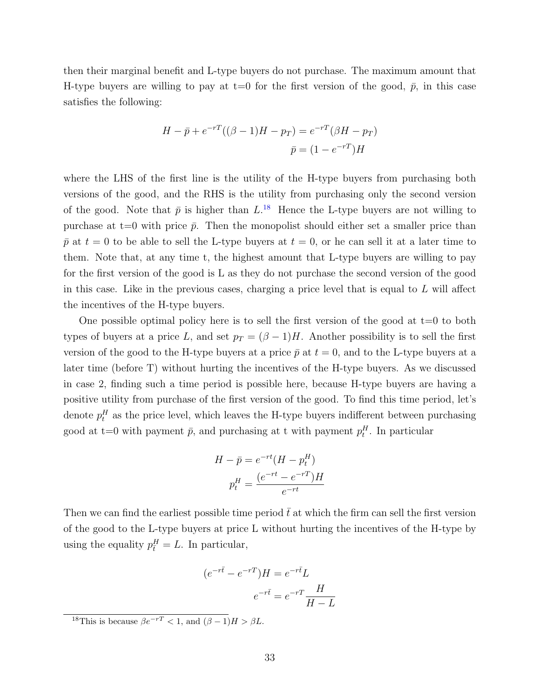then their marginal benefit and L-type buyers do not purchase. The maximum amount that H-type buyers are willing to pay at  $t=0$  for the first version of the good,  $\bar{p}$ , in this case satisfies the following:

$$
H - \bar{p} + e^{-rT}((\beta - 1)H - p_T) = e^{-rT}(\beta H - p_T)
$$

$$
\bar{p} = (1 - e^{-rT})H
$$

where the LHS of the first line is the utility of the H-type buyers from purchasing both versions of the good, and the RHS is the utility from purchasing only the second version of the good. Note that  $\bar{p}$  is higher than  $L^{18}$  $L^{18}$  $L^{18}$  Hence the L-type buyers are not willing to purchase at t=0 with price  $\bar{p}$ . Then the monopolist should either set a smaller price than  $\bar{p}$  at  $t = 0$  to be able to sell the L-type buyers at  $t = 0$ , or he can sell it at a later time to them. Note that, at any time t, the highest amount that L-type buyers are willing to pay for the first version of the good is L as they do not purchase the second version of the good in this case. Like in the previous cases, charging a price level that is equal to  $L$  will affect the incentives of the H-type buyers.

One possible optimal policy here is to sell the first version of the good at  $t=0$  to both types of buyers at a price L, and set  $p_T = (\beta - 1)H$ . Another possibility is to sell the first version of the good to the H-type buyers at a price  $\bar{p}$  at  $t = 0$ , and to the L-type buyers at a later time (before T) without hurting the incentives of the H-type buyers. As we discussed in case 2, finding such a time period is possible here, because H-type buyers are having a positive utility from purchase of the first version of the good. To find this time period, let's denote  $p_t^H$  as the price level, which leaves the H-type buyers indifferent between purchasing good at t=0 with payment  $\bar{p}$ , and purchasing at t with payment  $p_t^H$ . In particular

$$
H - \bar{p} = e^{-rt}(H - p_t^H)
$$

$$
p_t^H = \frac{(e^{-rt} - e^{-rT})H}{e^{-rt}}
$$

Then we can find the earliest possible time period  $\bar{t}$  at which the firm can sell the first version of the good to the L-type buyers at price L without hurting the incentives of the H-type by using the equality  $p_{\overline{t}}^H = L$ . In particular,

$$
(e^{-r\bar{t}} - e^{-rT})H = e^{-r\bar{t}}L
$$

$$
e^{-r\bar{t}} = e^{-rT}\frac{H}{H - L}
$$

<span id="page-33-0"></span><sup>&</sup>lt;sup>18</sup>This is because  $\beta e^{-rT} < 1$ , and  $(\beta - 1)H > \beta L$ .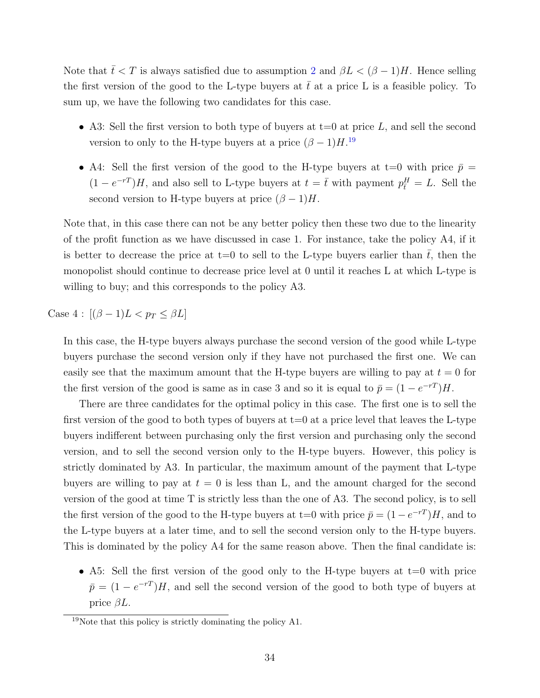Note that  $\bar{t} < T$  is always satisfied due to assumption [2](#page-24-3) and  $\beta L < (\beta - 1)H$ . Hence selling the first version of the good to the L-type buyers at  $\bar{t}$  at a price L is a feasible policy. To sum up, we have the following two candidates for this case.

- A3: Sell the first version to both type of buyers at  $t=0$  at price L, and sell the second version to only to the H-type buyers at a price  $(\beta - 1)H$ <sup>[19](#page-34-0)</sup>
- A4: Sell the first version of the good to the H-type buyers at t=0 with price  $\bar{p}$  =  $(1 - e^{-rT})H$ , and also sell to L-type buyers at  $t = \bar{t}$  with payment  $p_{\bar{t}}^H = L$ . Sell the second version to H-type buyers at price  $(\beta - 1)H$ .

Note that, in this case there can not be any better policy then these two due to the linearity of the profit function as we have discussed in case 1. For instance, take the policy A4, if it is better to decrease the price at t=0 to sell to the L-type buyers earlier than  $\bar{t}$ , then the monopolist should continue to decrease price level at 0 until it reaches L at which L-type is willing to buy; and this corresponds to the policy A3.

Case  $4: [(\beta - 1)L < p_T \leq \beta L]$ 

In this case, the H-type buyers always purchase the second version of the good while L-type buyers purchase the second version only if they have not purchased the first one. We can easily see that the maximum amount that the H-type buyers are willing to pay at  $t = 0$  for the first version of the good is same as in case 3 and so it is equal to  $\bar{p} = (1 - e^{-rT})H$ .

There are three candidates for the optimal policy in this case. The first one is to sell the first version of the good to both types of buyers at  $t=0$  at a price level that leaves the L-type buyers indifferent between purchasing only the first version and purchasing only the second version, and to sell the second version only to the H-type buyers. However, this policy is strictly dominated by A3. In particular, the maximum amount of the payment that L-type buyers are willing to pay at  $t = 0$  is less than L, and the amount charged for the second version of the good at time T is strictly less than the one of A3. The second policy, is to sell the first version of the good to the H-type buyers at t=0 with price  $\bar{p} = (1 - e^{-rT})H$ , and to the L-type buyers at a later time, and to sell the second version only to the H-type buyers. This is dominated by the policy A4 for the same reason above. Then the final candidate is:

• A5: Sell the first version of the good only to the H-type buyers at  $t=0$  with price  $\bar{p} = (1 - e^{-rT})H$ , and sell the second version of the good to both type of buyers at price  $\beta L$ .

<span id="page-34-0"></span> $19$ Note that this policy is strictly dominating the policy A1.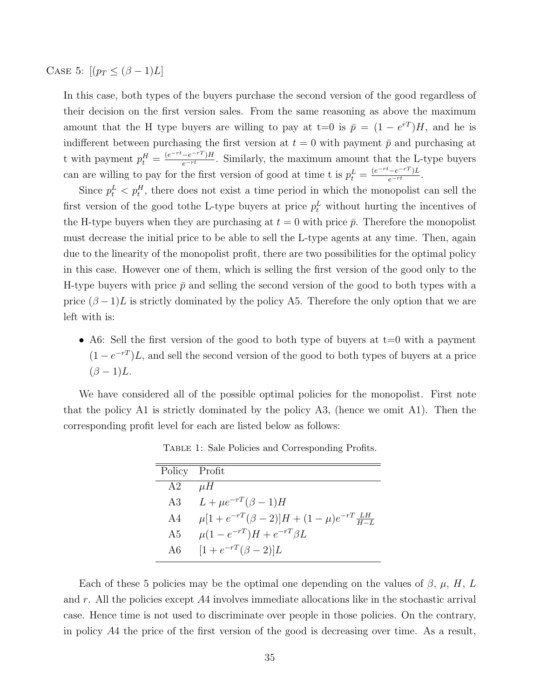CASE 5:  $[(p_T \leq (\beta - 1)L]$ 

In this case, both types of the buyers purchase the second version of the good regardless of their decision on the first version sales. From the same reasoning as above the maximum amount that the H type buyers are willing to pay at t=0 is  $\bar{p} = (1 - e^{rT})H$ , and he is indifferent between purchasing the first version at  $t = 0$  with payment  $\bar{p}$  and purchasing at t with payment  $p_t^H = \frac{(e^{-rt} - e^{-rT})H}{e^{-rt}}$ . Similarly, the maximum amount that the L-type buyers can are willing to pay for the first version of good at time t is  $p_t^L = \frac{(e^{-rt} - e^{-rT})L}{e^{-rt}}$ .

Since  $p_t^L < p_t^H$ , there does not exist a time period in which the monopolist can sell the first version of the good to the L-type buyers at price  $p_t^L$  without hurting the incentives of the H-type buyers when they are purchasing at  $t = 0$  with price  $\bar{p}$ . Therefore the monopolist must decrease the initial price to be able to sell the L-type agents at any time. Then, again due to the linearity of the monopolist profit, there are two possibilities for the optimal policy in this case. However one of them, which is selling the first version of the good only to the H-type buyers with price  $\bar{p}$  and selling the second version of the good to both types with a price  $(\beta - 1)L$  is strictly dominated by the policy A5. Therefore the only option that we are left with is:

• A6: Sell the first version of the good to both type of buyers at  $t=0$  with a payment  $(1 - e^{-rT})L$ , and sell the second version of the good to both types of buyers at a price  $(\beta - 1)L$ .

We have considered all of the possible optimal policies for the monopolist. First note that the policy A1 is strictly dominated by the policy A3, (hence we omit A1). Then the corresponding profit level for each are listed below as follows:

| Policy Profit |                                                         |
|---------------|---------------------------------------------------------|
| A2            | $\mu H$                                                 |
|               | A3 $L + \mu e^{-rT} (\beta - 1)H$                       |
| A4            | $\mu[1+e^{-rT}(\beta-2)]H+(1-\mu)e^{-rT}\frac{LH}{H-L}$ |
| A5            | $\mu(1-e^{-rT})H+e^{-rT}\beta L$                        |
| A6            | $[1 + e^{-rT}(\beta - 2)]L$                             |

Table 1: Sale Policies and Corresponding Profits.

Each of these 5 policies may be the optimal one depending on the values of  $\beta$ ,  $\mu$ , H, L and r. All the policies except  $A4$  involves immediate allocations like in the stochastic arrival case. Hence time is not used to discriminate over people in those policies. On the contrary, in policy A4 the price of the first version of the good is decreasing over time. As a result,